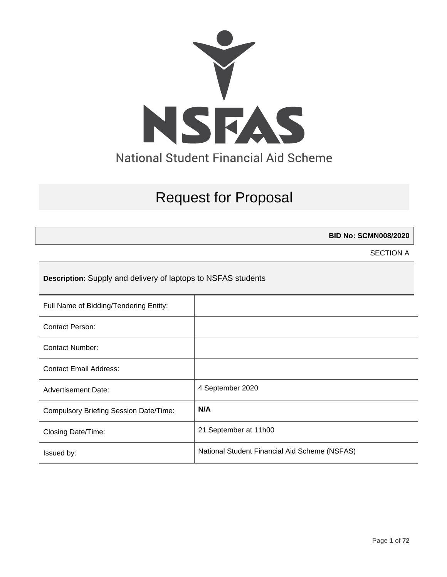

# Request for Proposal

**BID No: SCMN008/2020**

SECTION A

**Description:** Supply and delivery of laptops to NSFAS students

| Full Name of Bidding/Tendering Entity:        |                                               |
|-----------------------------------------------|-----------------------------------------------|
| <b>Contact Person:</b>                        |                                               |
| Contact Number:                               |                                               |
| Contact Email Address:                        |                                               |
| <b>Advertisement Date:</b>                    | 4 September 2020                              |
| <b>Compulsory Briefing Session Date/Time:</b> | N/A                                           |
| Closing Date/Time:                            | 21 September at 11h00                         |
| Issued by:                                    | National Student Financial Aid Scheme (NSFAS) |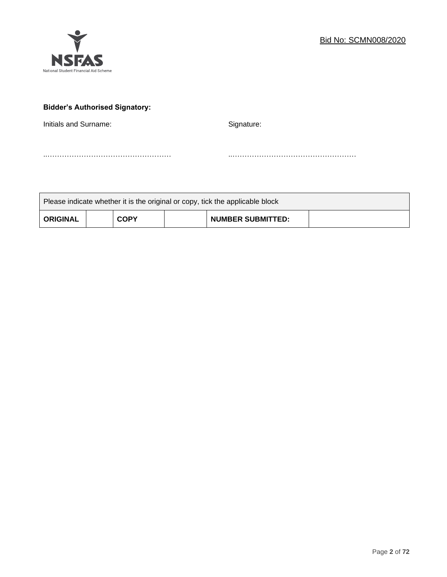

# **Bidder's Authorised Signatory:**

Initials and Surname: Signature: Signature:

..…………………………………………… ..……………………………………………

| Please indicate whether it is the original or copy, tick the applicable block |  |             |  |                          |  |
|-------------------------------------------------------------------------------|--|-------------|--|--------------------------|--|
| <b>ORIGINAL</b>                                                               |  | <b>COPY</b> |  | <b>NUMBER SUBMITTED:</b> |  |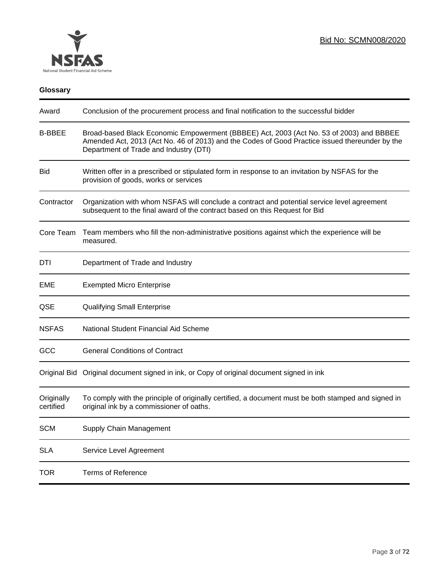

# **Glossary**

| Award                   | Conclusion of the procurement process and final notification to the successful bidder                                                                                                                                               |
|-------------------------|-------------------------------------------------------------------------------------------------------------------------------------------------------------------------------------------------------------------------------------|
| <b>B-BBEE</b>           | Broad-based Black Economic Empowerment (BBBEE) Act, 2003 (Act No. 53 of 2003) and BBBEE<br>Amended Act, 2013 (Act No. 46 of 2013) and the Codes of Good Practice issued thereunder by the<br>Department of Trade and Industry (DTI) |
| <b>Bid</b>              | Written offer in a prescribed or stipulated form in response to an invitation by NSFAS for the<br>provision of goods, works or services                                                                                             |
| Contractor              | Organization with whom NSFAS will conclude a contract and potential service level agreement<br>subsequent to the final award of the contract based on this Request for Bid                                                          |
| Core Team               | Team members who fill the non-administrative positions against which the experience will be<br>measured.                                                                                                                            |
| DTI                     | Department of Trade and Industry                                                                                                                                                                                                    |
| EME                     | <b>Exempted Micro Enterprise</b>                                                                                                                                                                                                    |
| QSE                     | <b>Qualifying Small Enterprise</b>                                                                                                                                                                                                  |
| <b>NSFAS</b>            | National Student Financial Aid Scheme                                                                                                                                                                                               |
| GCC                     | <b>General Conditions of Contract</b>                                                                                                                                                                                               |
|                         | Original Bid Original document signed in ink, or Copy of original document signed in ink                                                                                                                                            |
| Originally<br>certified | To comply with the principle of originally certified, a document must be both stamped and signed in<br>original ink by a commissioner of oaths.                                                                                     |
| <b>SCM</b>              | Supply Chain Management                                                                                                                                                                                                             |
| <b>SLA</b>              | Service Level Agreement                                                                                                                                                                                                             |
| <b>TOR</b>              | <b>Terms of Reference</b>                                                                                                                                                                                                           |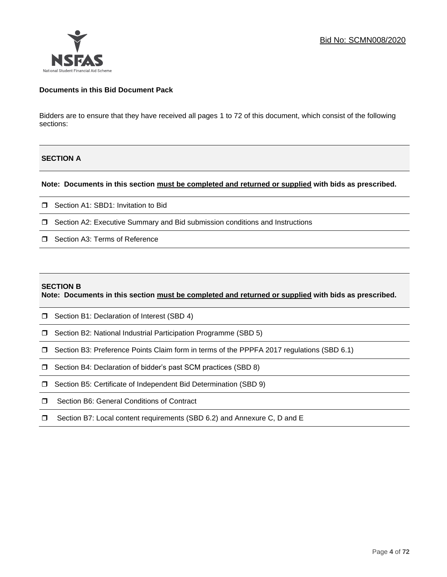

#### **Documents in this Bid Document Pack**

Bidders are to ensure that they have received all pages 1 to 72 of this document, which consist of the following sections:

# **SECTION A**

#### **Note: Documents in this section must be completed and returned or supplied with bids as prescribed.**

- □ Section A1: SBD1: Invitation to Bid
- □ Section A2: Executive Summary and Bid submission conditions and Instructions
- □ Section A3: Terms of Reference

#### **SECTION B**

**Note: Documents in this section must be completed and returned or supplied with bids as prescribed.**

- □ Section B1: Declaration of Interest (SBD 4)
- □ Section B2: National Industrial Participation Programme (SBD 5)
- Section B3: Preference Points Claim form in terms of the PPPFA 2017 regulations (SBD 6.1)
- □ Section B4: Declaration of bidder's past SCM practices (SBD 8)
- □ Section B5: Certificate of Independent Bid Determination (SBD 9)
- **I** Section B6: General Conditions of Contract
- □ Section B7: Local content requirements (SBD 6.2) and Annexure C, D and E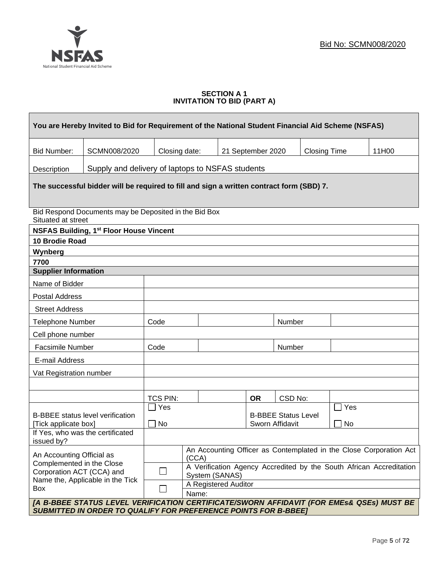

### **SECTION A 1 INVITATION TO BID (PART A)**

| You are Hereby Invited to Bid for Requirement of the National Student Financial Aid Scheme (NSFAS)                                             |                                                                                                          |                 |                                        |  |                                               |         |                     |     |       |
|------------------------------------------------------------------------------------------------------------------------------------------------|----------------------------------------------------------------------------------------------------------|-----------------|----------------------------------------|--|-----------------------------------------------|---------|---------------------|-----|-------|
| <b>Bid Number:</b>                                                                                                                             | SCMN008/2020                                                                                             | Closing date:   |                                        |  | 21 September 2020                             |         | <b>Closing Time</b> |     | 11H00 |
| Description                                                                                                                                    | Supply and delivery of laptops to NSFAS students                                                         |                 |                                        |  |                                               |         |                     |     |       |
| The successful bidder will be required to fill and sign a written contract form (SBD) 7.                                                       |                                                                                                          |                 |                                        |  |                                               |         |                     |     |       |
| Situated at street                                                                                                                             | Bid Respond Documents may be Deposited in the Bid Box                                                    |                 |                                        |  |                                               |         |                     |     |       |
|                                                                                                                                                | <b>NSFAS Building, 1st Floor House Vincent</b>                                                           |                 |                                        |  |                                               |         |                     |     |       |
| 10 Brodie Road                                                                                                                                 |                                                                                                          |                 |                                        |  |                                               |         |                     |     |       |
| Wynberg                                                                                                                                        |                                                                                                          |                 |                                        |  |                                               |         |                     |     |       |
| 7700                                                                                                                                           |                                                                                                          |                 |                                        |  |                                               |         |                     |     |       |
| <b>Supplier Information</b>                                                                                                                    |                                                                                                          |                 |                                        |  |                                               |         |                     |     |       |
| Name of Bidder                                                                                                                                 |                                                                                                          |                 |                                        |  |                                               |         |                     |     |       |
| <b>Postal Address</b>                                                                                                                          |                                                                                                          |                 |                                        |  |                                               |         |                     |     |       |
| <b>Street Address</b>                                                                                                                          |                                                                                                          |                 |                                        |  |                                               |         |                     |     |       |
| <b>Telephone Number</b>                                                                                                                        |                                                                                                          | Code            |                                        |  | Number                                        |         |                     |     |       |
| Cell phone number                                                                                                                              |                                                                                                          |                 |                                        |  |                                               |         |                     |     |       |
| <b>Facsimile Number</b>                                                                                                                        |                                                                                                          | Code            |                                        |  |                                               | Number  |                     |     |       |
| E-mail Address                                                                                                                                 |                                                                                                          |                 |                                        |  |                                               |         |                     |     |       |
| Vat Registration number                                                                                                                        |                                                                                                          |                 |                                        |  |                                               |         |                     |     |       |
|                                                                                                                                                |                                                                                                          |                 |                                        |  |                                               |         |                     |     |       |
|                                                                                                                                                |                                                                                                          | <b>TCS PIN:</b> |                                        |  | <b>OR</b>                                     | CSD No: |                     |     |       |
|                                                                                                                                                |                                                                                                          | Yes             |                                        |  |                                               |         |                     | Yes |       |
| [Tick applicate box]                                                                                                                           | <b>B-BBEE</b> status level verification                                                                  | No              |                                        |  | <b>B-BBEE Status Level</b><br>Sworn Affidavit |         |                     | No  |       |
|                                                                                                                                                | If Yes, who was the certificated                                                                         |                 |                                        |  |                                               |         |                     |     |       |
| issued by?                                                                                                                                     |                                                                                                          |                 |                                        |  |                                               |         |                     |     |       |
|                                                                                                                                                | An Accounting Officer as Contemplated in the Close Corporation Act<br>An Accounting Official as<br>(CCA) |                 |                                        |  |                                               |         |                     |     |       |
| Complemented in the Close<br>A Verification Agency Accredited by the South African Accreditation<br>Corporation ACT (CCA) and<br>$\mathcal{L}$ |                                                                                                          |                 |                                        |  |                                               |         |                     |     |       |
|                                                                                                                                                | Name the, Applicable in the Tick                                                                         |                 | System (SANAS)<br>A Registered Auditor |  |                                               |         |                     |     |       |
| Box                                                                                                                                            |                                                                                                          |                 | Name:                                  |  |                                               |         |                     |     |       |
|                                                                                                                                                | [A B-BBEE STATUS LEVEL VERIFICATION CERTIFICATE/SWORN AFFIDAVIT (FOR EMES& QSEs) MUST BE                 |                 |                                        |  |                                               |         |                     |     |       |
| <b>SUBMITTED IN ORDER TO QUALIFY FOR PREFERENCE POINTS FOR B-BBEET</b>                                                                         |                                                                                                          |                 |                                        |  |                                               |         |                     |     |       |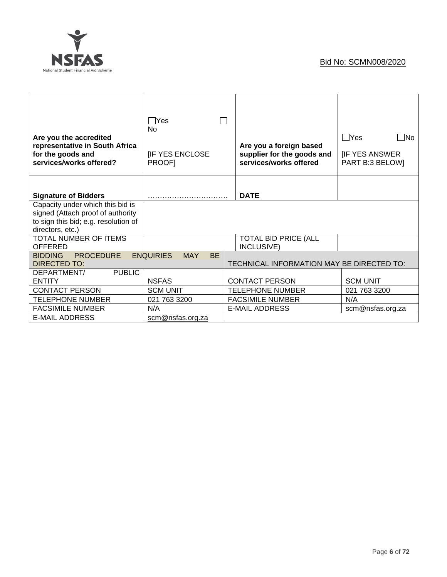

| Are you the accredited<br>representative in South Africa<br>for the goods and<br>services/works offered?                          | $\Box$ Yes<br><b>No</b><br><b>IF YES ENCLOSE</b><br><b>PROOFI</b> | Are you a foreign based<br>supplier for the goods and<br>services/works offered | $\Box$ Yes<br>$\square$ No<br><b>IF YES ANSWER</b><br>PART B:3 BELOW] |
|-----------------------------------------------------------------------------------------------------------------------------------|-------------------------------------------------------------------|---------------------------------------------------------------------------------|-----------------------------------------------------------------------|
| <b>Signature of Bidders</b>                                                                                                       |                                                                   | <b>DATE</b>                                                                     |                                                                       |
| Capacity under which this bid is<br>signed (Attach proof of authority<br>to sign this bid; e.g. resolution of<br>directors, etc.) |                                                                   |                                                                                 |                                                                       |
| TOTAL NUMBER OF ITEMS<br><b>OFFERED</b>                                                                                           |                                                                   | <b>TOTAL BID PRICE (ALL</b><br>INCLUSIVE)                                       |                                                                       |
| <b>BIDDING</b><br><b>PROCEDURE</b><br><b>DIRECTED TO:</b>                                                                         | <b>ENQUIRIES</b><br><b>MAY</b><br><b>BE</b>                       | TECHNICAL INFORMATION MAY BE DIRECTED TO:                                       |                                                                       |
| <b>PUBLIC</b><br>DEPARTMENT/<br><b>ENTITY</b>                                                                                     | <b>NSFAS</b>                                                      | <b>CONTACT PERSON</b>                                                           | <b>SCM UNIT</b>                                                       |
| <b>CONTACT PERSON</b>                                                                                                             | <b>SCM UNIT</b>                                                   | <b>TELEPHONE NUMBER</b>                                                         | 021 763 3200                                                          |
| <b>TELEPHONE NUMBER</b>                                                                                                           | 021 763 3200                                                      | <b>FACSIMILE NUMBER</b>                                                         | N/A                                                                   |
| <b>FACSIMILE NUMBER</b>                                                                                                           | N/A                                                               | <b>E-MAIL ADDRESS</b>                                                           | scm@nsfas.org.za                                                      |
| <b>E-MAIL ADDRESS</b>                                                                                                             | scm@nsfas.org.za                                                  |                                                                                 |                                                                       |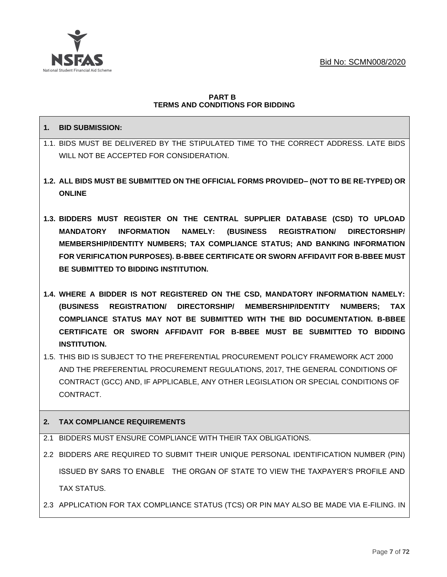

#### **PART B TERMS AND CONDITIONS FOR BIDDING**

# **1. BID SUBMISSION:**

- 1.1. BIDS MUST BE DELIVERED BY THE STIPULATED TIME TO THE CORRECT ADDRESS. LATE BIDS WILL NOT BE ACCEPTED FOR CONSIDERATION.
- **1.2. ALL BIDS MUST BE SUBMITTED ON THE OFFICIAL FORMS PROVIDED– (NOT TO BE RE-TYPED) OR ONLINE**
- **1.3. BIDDERS MUST REGISTER ON THE CENTRAL SUPPLIER DATABASE (CSD) TO UPLOAD MANDATORY INFORMATION NAMELY: (BUSINESS REGISTRATION/ DIRECTORSHIP/ MEMBERSHIP/IDENTITY NUMBERS; TAX COMPLIANCE STATUS; AND BANKING INFORMATION FOR VERIFICATION PURPOSES). B-BBEE CERTIFICATE OR SWORN AFFIDAVIT FOR B-BBEE MUST BE SUBMITTED TO BIDDING INSTITUTION.**
- **1.4. WHERE A BIDDER IS NOT REGISTERED ON THE CSD, MANDATORY INFORMATION NAMELY: (BUSINESS REGISTRATION/ DIRECTORSHIP/ MEMBERSHIP/IDENTITY NUMBERS; TAX COMPLIANCE STATUS MAY NOT BE SUBMITTED WITH THE BID DOCUMENTATION. B-BBEE CERTIFICATE OR SWORN AFFIDAVIT FOR B-BBEE MUST BE SUBMITTED TO BIDDING INSTITUTION.**
- 1.5. THIS BID IS SUBJECT TO THE PREFERENTIAL PROCUREMENT POLICY FRAMEWORK ACT 2000 AND THE PREFERENTIAL PROCUREMENT REGULATIONS, 2017, THE GENERAL CONDITIONS OF CONTRACT (GCC) AND, IF APPLICABLE, ANY OTHER LEGISLATION OR SPECIAL CONDITIONS OF CONTRACT.

# **2. TAX COMPLIANCE REQUIREMENTS**

- 2.1 BIDDERS MUST ENSURE COMPLIANCE WITH THEIR TAX OBLIGATIONS.
- 2.2 BIDDERS ARE REQUIRED TO SUBMIT THEIR UNIQUE PERSONAL IDENTIFICATION NUMBER (PIN) ISSUED BY SARS TO ENABLE THE ORGAN OF STATE TO VIEW THE TAXPAYER'S PROFILE AND TAX STATUS.
- 2.3 APPLICATION FOR TAX COMPLIANCE STATUS (TCS) OR PIN MAY ALSO BE MADE VIA E-FILING. IN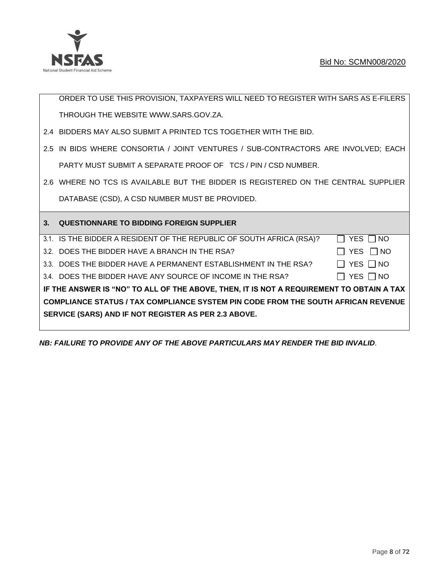

ORDER TO USE THIS PROVISION, TAXPAYERS WILL NEED TO REGISTER WITH SARS AS E-FILERS THROUGH THE WEBSITE [WWW.SARS.GOV.ZA.](http://www.sars.gov.za/)

- 2.4 BIDDERS MAY ALSO SUBMIT A PRINTED TCS TOGETHER WITH THE BID.
- 2.5 IN BIDS WHERE CONSORTIA / JOINT VENTURES / SUB-CONTRACTORS ARE INVOLVED; EACH PARTY MUST SUBMIT A SEPARATE PROOF OF TCS / PIN / CSD NUMBER.
- 2.6 WHERE NO TCS IS AVAILABLE BUT THE BIDDER IS REGISTERED ON THE CENTRAL SUPPLIER DATABASE (CSD), A CSD NUMBER MUST BE PROVIDED.

| 3 <sub>1</sub> | <b>QUESTIONNARE TO BIDDING FOREIGN SUPPLIER</b>                                          |            |  |  |  |  |
|----------------|------------------------------------------------------------------------------------------|------------|--|--|--|--|
|                | 3.1. IS THE BIDDER A RESIDENT OF THE REPUBLIC OF SOUTH AFRICA (RSA)?                     | YES     NO |  |  |  |  |
|                | 3.2. DOES THE BIDDER HAVE A BRANCH IN THE RSA?                                           | YES     NO |  |  |  |  |
|                | 3.3. DOES THE BIDDER HAVE A PERMANENT ESTABLISHMENT IN THE RSA?                          | YES     NO |  |  |  |  |
|                | 3.4. DOES THE BIDDER HAVE ANY SOURCE OF INCOME IN THE RSA?                               | YES     NO |  |  |  |  |
|                | IF THE ANSWER IS "NO" TO ALL OF THE ABOVE, THEN, IT IS NOT A REQUIREMENT TO OBTAIN A TAX |            |  |  |  |  |
|                | <b>COMPLIANCE STATUS / TAX COMPLIANCE SYSTEM PIN CODE FROM THE SOUTH AFRICAN REVENUE</b> |            |  |  |  |  |
|                | SERVICE (SARS) AND IF NOT REGISTER AS PER 2.3 ABOVE.                                     |            |  |  |  |  |
|                |                                                                                          |            |  |  |  |  |

*NB: FAILURE TO PROVIDE ANY OF THE ABOVE PARTICULARS MAY RENDER THE BID INVALID.*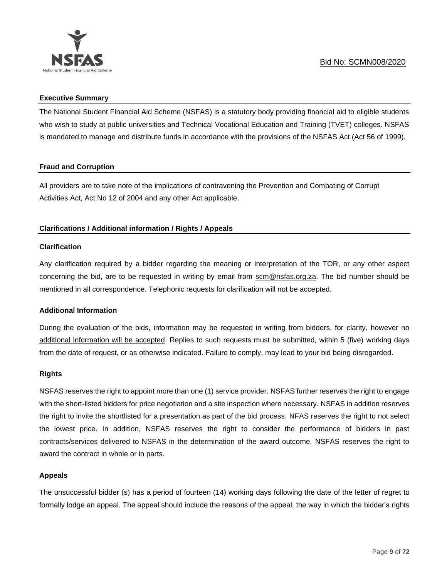

#### **Executive Summary**

The National Student Financial Aid Scheme (NSFAS) is a statutory body providing financial aid to eligible students who wish to study at public universities and Technical Vocational Education and Training (TVET) colleges. NSFAS is mandated to manage and distribute funds in accordance with the provisions of the NSFAS Act (Act 56 of 1999).

# **Fraud and Corruption**

All providers are to take note of the implications of contravening the Prevention and Combating of Corrupt Activities Act, Act No 12 of 2004 and any other Act applicable.

# **Clarifications / Additional information / Rights / Appeals**

# **Clarification**

Any clarification required by a bidder regarding the meaning or interpretation of the TOR, or any other aspect concerning the bid, are to be requested in writing by email from scm@nsfas.org.za. The bid number should be mentioned in all correspondence. Telephonic requests for clarification will not be accepted.

# **Additional Information**

During the evaluation of the bids, information may be requested in writing from bidders, for clarity, however no additional information will be accepted. Replies to such requests must be submitted, within 5 (five) working days from the date of request, or as otherwise indicated. Failure to comply, may lead to your bid being disregarded.

#### **Rights**

NSFAS reserves the right to appoint more than one (1) service provider. NSFAS further reserves the right to engage with the short-listed bidders for price negotiation and a site inspection where necessary. NSFAS in addition reserves the right to invite the shortlisted for a presentation as part of the bid process. NFAS reserves the right to not select the lowest price. In addition, NSFAS reserves the right to consider the performance of bidders in past contracts/services delivered to NSFAS in the determination of the award outcome. NSFAS reserves the right to award the contract in whole or in parts.

# **Appeals**

The unsuccessful bidder (s) has a period of fourteen (14) working days following the date of the letter of regret to formally lodge an appeal. The appeal should include the reasons of the appeal, the way in which the bidder's rights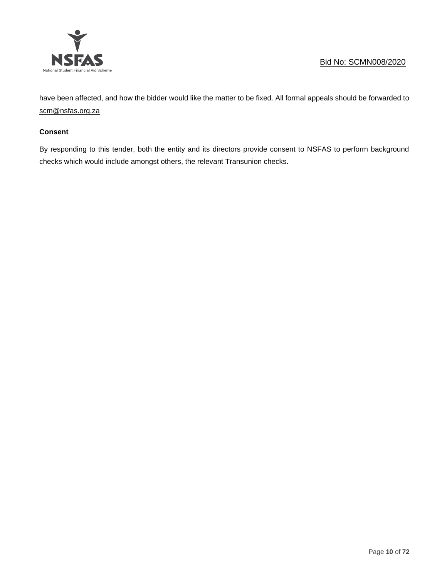

have been affected, and how the bidder would like the matter to be fixed. All formal appeals should be forwarded to [scm@nsfas.org.za](mailto:scm@nsfas.org.za)

## **Consent**

By responding to this tender, both the entity and its directors provide consent to NSFAS to perform background checks which would include amongst others, the relevant Transunion checks.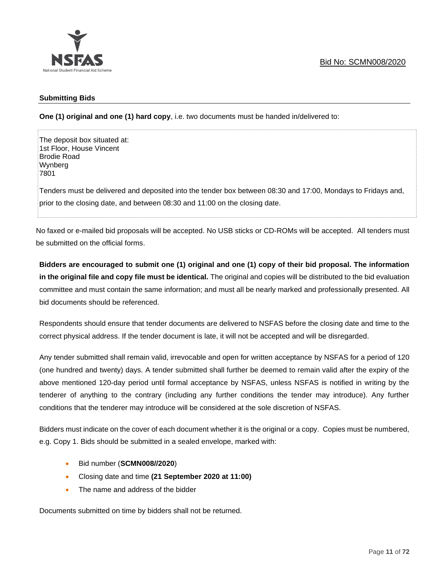

## **Submitting Bids**

**One (1) original and one (1) hard copy**, i.e. two documents must be handed in/delivered to:

The deposit box situated at: 1st Floor, House Vincent Brodie Road Wynberg 7801

Tenders must be delivered and deposited into the tender box between 08:30 and 17:00, Mondays to Fridays and, prior to the closing date, and between 08:30 and 11:00 on the closing date.

No faxed or e-mailed bid proposals will be accepted. No USB sticks or CD-ROMs will be accepted. All tenders must be submitted on the official forms.

**Bidders are encouraged to submit one (1) original and one (1) copy of their bid proposal. The information in the original file and copy file must be identical.** The original and copies will be distributed to the bid evaluation committee and must contain the same information; and must all be nearly marked and professionally presented. All bid documents should be referenced.

Respondents should ensure that tender documents are delivered to NSFAS before the closing date and time to the correct physical address. If the tender document is late, it will not be accepted and will be disregarded.

Any tender submitted shall remain valid, irrevocable and open for written acceptance by NSFAS for a period of 120 (one hundred and twenty) days. A tender submitted shall further be deemed to remain valid after the expiry of the above mentioned 120-day period until formal acceptance by NSFAS, unless NSFAS is notified in writing by the tenderer of anything to the contrary (including any further conditions the tender may introduce). Any further conditions that the tenderer may introduce will be considered at the sole discretion of NSFAS.

Bidders must indicate on the cover of each document whether it is the original or a copy. Copies must be numbered, e.g. Copy 1. Bids should be submitted in a sealed envelope, marked with:

- Bid number (**SCMN008//2020**)
- Closing date and time **(21 September 2020 at 11:00)**
- The name and address of the bidder

Documents submitted on time by bidders shall not be returned.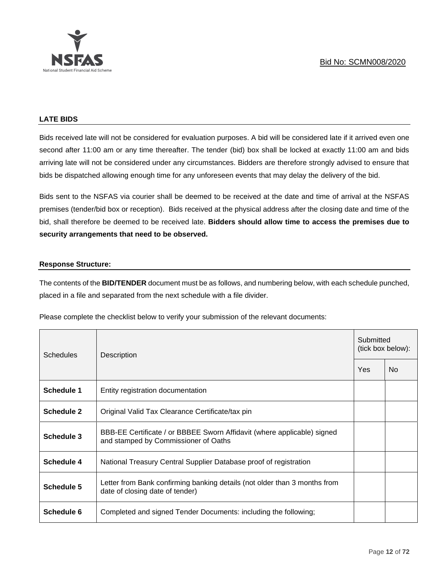

#### **LATE BIDS**

Bids received late will not be considered for evaluation purposes. A bid will be considered late if it arrived even one second after 11:00 am or any time thereafter. The tender (bid) box shall be locked at exactly 11:00 am and bids arriving late will not be considered under any circumstances. Bidders are therefore strongly advised to ensure that bids be dispatched allowing enough time for any unforeseen events that may delay the delivery of the bid.

Bids sent to the NSFAS via courier shall be deemed to be received at the date and time of arrival at the NSFAS premises (tender/bid box or reception). Bids received at the physical address after the closing date and time of the bid, shall therefore be deemed to be received late. **Bidders should allow time to access the premises due to security arrangements that need to be observed.**

# **Response Structure:**

The contents of the **BID/TENDER** document must be as follows, and numbering below, with each schedule punched, placed in a file and separated from the next schedule with a file divider.

Please complete the checklist below to verify your submission of the relevant documents:

| <b>Schedules</b>  | Description                                                                                                     |  | Submitted<br>(tick box below): |  |
|-------------------|-----------------------------------------------------------------------------------------------------------------|--|--------------------------------|--|
|                   |                                                                                                                 |  | No.                            |  |
| Schedule 1        | Entity registration documentation                                                                               |  |                                |  |
| <b>Schedule 2</b> | Original Valid Tax Clearance Certificate/tax pin                                                                |  |                                |  |
| Schedule 3        | BBB-EE Certificate / or BBBEE Sworn Affidavit (where applicable) signed<br>and stamped by Commissioner of Oaths |  |                                |  |
| Schedule 4        | National Treasury Central Supplier Database proof of registration                                               |  |                                |  |
| Schedule 5        | Letter from Bank confirming banking details (not older than 3 months from<br>date of closing date of tender)    |  |                                |  |
| Schedule 6        | Completed and signed Tender Documents: including the following;                                                 |  |                                |  |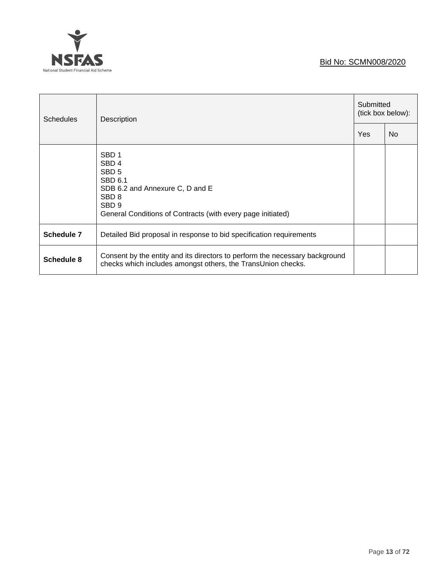# **NSFAS** National Student Financial Aid Scheme

# Bid No: SCMN008/2020

| <b>Schedules</b> | <b>Description</b>                                                                                                                                                                                            |  | Submitted<br>(tick box below): |  |
|------------------|---------------------------------------------------------------------------------------------------------------------------------------------------------------------------------------------------------------|--|--------------------------------|--|
|                  |                                                                                                                                                                                                               |  | N <sub>o</sub>                 |  |
|                  | SBD <sub>1</sub><br>SBD <sub>4</sub><br>SBD <sub>5</sub><br>SBD 6.1<br>SDB 6.2 and Annexure C, D and E<br>SBD <sub>8</sub><br>SBD <sub>9</sub><br>General Conditions of Contracts (with every page initiated) |  |                                |  |
| Schedule 7       | Detailed Bid proposal in response to bid specification requirements                                                                                                                                           |  |                                |  |
| Schedule 8       | Consent by the entity and its directors to perform the necessary background<br>checks which includes amongst others, the TransUnion checks.                                                                   |  |                                |  |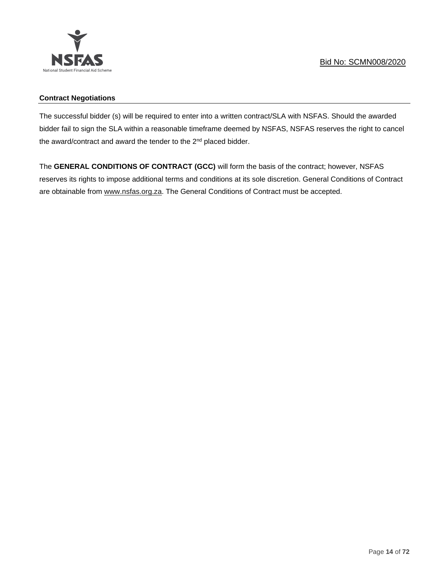

# **Contract Negotiations**

The successful bidder (s) will be required to enter into a written contract/SLA with NSFAS. Should the awarded bidder fail to sign the SLA within a reasonable timeframe deemed by NSFAS, NSFAS reserves the right to cancel the award/contract and award the tender to the 2<sup>nd</sup> placed bidder.

The **GENERAL CONDITIONS OF CONTRACT (GCC)** will form the basis of the contract; however, NSFAS reserves its rights to impose additional terms and conditions at its sole discretion. General Conditions of Contract are obtainable from [www.nsfas.org.za.](http://www.nsfas.org.za/) The General Conditions of Contract must be accepted.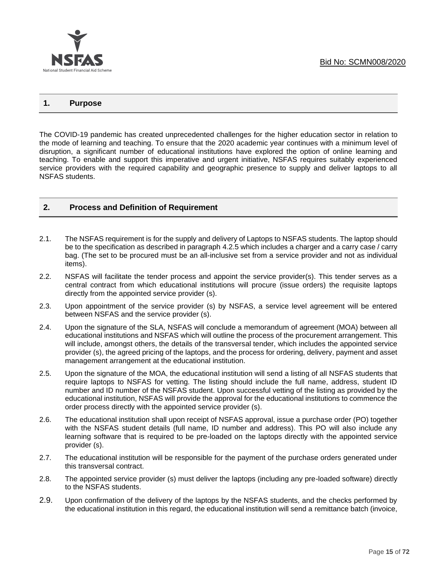

# **1. Purpose**

The COVID-19 pandemic has created unprecedented challenges for the higher education sector in relation to the mode of learning and teaching. To ensure that the 2020 academic year continues with a minimum level of disruption, a significant number of educational institutions have explored the option of online learning and teaching. To enable and support this imperative and urgent initiative, NSFAS requires suitably experienced service providers with the required capability and geographic presence to supply and deliver laptops to all NSFAS students.

#### **2. Process and Definition of Requirement**

- 2.1. The NSFAS requirement is for the supply and delivery of Laptops to NSFAS students. The laptop should be to the specification as described in paragraph 4.2.5 which includes a charger and a carry case / carry bag. (The set to be procured must be an all-inclusive set from a service provider and not as individual items).
- 2.2. NSFAS will facilitate the tender process and appoint the service provider(s). This tender serves as a central contract from which educational institutions will procure (issue orders) the requisite laptops directly from the appointed service provider (s).
- 2.3. Upon appointment of the service provider (s) by NSFAS, a service level agreement will be entered between NSFAS and the service provider (s).
- 2.4. Upon the signature of the SLA, NSFAS will conclude a memorandum of agreement (MOA) between all educational institutions and NSFAS which will outline the process of the procurement arrangement. This will include, amongst others, the details of the transversal tender, which includes the appointed service provider (s), the agreed pricing of the laptops, and the process for ordering, delivery, payment and asset management arrangement at the educational institution.
- 2.5. Upon the signature of the MOA, the educational institution will send a listing of all NSFAS students that require laptops to NSFAS for vetting. The listing should include the full name, address, student ID number and ID number of the NSFAS student. Upon successful vetting of the listing as provided by the educational institution, NSFAS will provide the approval for the educational institutions to commence the order process directly with the appointed service provider (s).
- 2.6. The educational institution shall upon receipt of NSFAS approval, issue a purchase order (PO) together with the NSFAS student details (full name, ID number and address). This PO will also include any learning software that is required to be pre-loaded on the laptops directly with the appointed service provider (s).
- 2.7. The educational institution will be responsible for the payment of the purchase orders generated under this transversal contract.
- 2.8. The appointed service provider (s) must deliver the laptops (including any pre-loaded software) directly to the NSFAS students.
- 2.9. Upon confirmation of the delivery of the laptops by the NSFAS students, and the checks performed by the educational institution in this regard, the educational institution will send a remittance batch (invoice,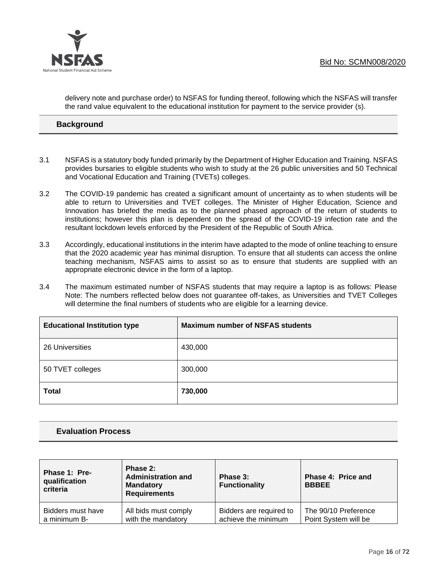

delivery note and purchase order) to NSFAS for funding thereof, following which the NSFAS will transfer the rand value equivalent to the educational institution for payment to the service provider (s).

# **2 Background**

- 3.1 NSFAS is a statutory body funded primarily by the Department of Higher Education and Training. NSFAS provides bursaries to eligible students who wish to study at the 26 public universities and 50 Technical and Vocational Education and Training (TVETs) colleges.
- 3.2 The COVID-19 pandemic has created a significant amount of uncertainty as to when students will be able to return to Universities and TVET colleges. The Minister of Higher Education, Science and Innovation has briefed the media as to the planned phased approach of the return of students to institutions; however this plan is dependent on the spread of the COVID-19 infection rate and the resultant lockdown levels enforced by the President of the Republic of South Africa.
- 3.3 Accordingly, educational institutions in the interim have adapted to the mode of online teaching to ensure that the 2020 academic year has minimal disruption. To ensure that all students can access the online teaching mechanism, NSFAS aims to assist so as to ensure that students are supplied with an appropriate electronic device in the form of a laptop.
- 3.4 The maximum estimated number of NSFAS students that may require a laptop is as follows: Please Note: The numbers reflected below does not guarantee off-takes, as Universities and TVET Colleges will determine the final numbers of students who are eligible for a learning device.

| <b>Educational Institution type</b> | <b>Maximum number of NSFAS students</b> |
|-------------------------------------|-----------------------------------------|
| 26 Universities                     | 430,000                                 |
| 50 TVET colleges                    | 300,000                                 |
| <b>Total</b>                        | 730,000                                 |

# **3 Evaluation Process**

| Phase 1: Pre-<br>qualification<br>criteria | Phase 2:<br><b>Administration and</b><br><b>Mandatory</b><br><b>Requirements</b> | Phase 3:<br><b>Functionality</b> | Phase 4: Price and<br><b>BBBEE</b> |
|--------------------------------------------|----------------------------------------------------------------------------------|----------------------------------|------------------------------------|
| Bidders must have                          | All bids must comply                                                             | Bidders are required to          | The 90/10 Preference               |
| a minimum B-                               | with the mandatory                                                               | achieve the minimum              | Point System will be               |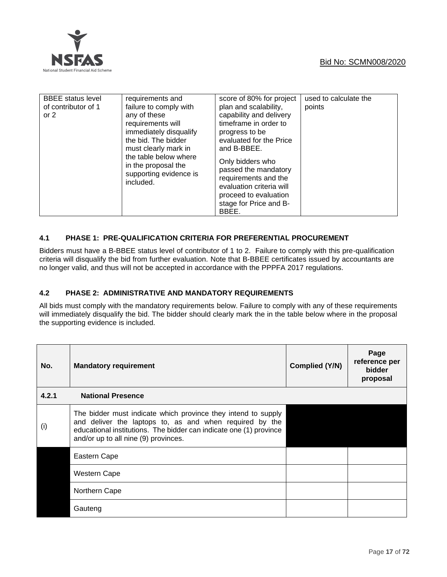

| <b>BBEE</b> status level<br>requirements and<br>failure to comply with<br>of contributor of 1<br>any of these<br>or $2$<br>requirements will<br>immediately disqualify<br>the bid. The bidder<br>must clearly mark in<br>the table below where<br>in the proposal the<br>supporting evidence is<br>included. | score of 80% for project<br>plan and scalability,<br>capability and delivery<br>timeframe in order to<br>progress to be<br>evaluated for the Price<br>and B-BBEE.<br>Only bidders who<br>passed the mandatory<br>requirements and the<br>evaluation criteria will<br>proceed to evaluation<br>stage for Price and B-<br>BBEE. | used to calculate the<br>points |
|--------------------------------------------------------------------------------------------------------------------------------------------------------------------------------------------------------------------------------------------------------------------------------------------------------------|-------------------------------------------------------------------------------------------------------------------------------------------------------------------------------------------------------------------------------------------------------------------------------------------------------------------------------|---------------------------------|
|--------------------------------------------------------------------------------------------------------------------------------------------------------------------------------------------------------------------------------------------------------------------------------------------------------------|-------------------------------------------------------------------------------------------------------------------------------------------------------------------------------------------------------------------------------------------------------------------------------------------------------------------------------|---------------------------------|

# **4.1 PHASE 1: PRE-QUALIFICATION CRITERIA FOR PREFERENTIAL PROCUREMENT**

Bidders must have a B-BBEE status level of contributor of 1 to 2. Failure to comply with this pre-qualification criteria will disqualify the bid from further evaluation. Note that B-BBEE certificates issued by accountants are no longer valid, and thus will not be accepted in accordance with the PPPFA 2017 regulations.

# **4.2 PHASE 2: ADMINISTRATIVE AND MANDATORY REQUIREMENTS**

All bids must comply with the mandatory requirements below. Failure to comply with any of these requirements will immediately disqualify the bid. The bidder should clearly mark the in the table below where in the proposal the supporting evidence is included.

| No.   | <b>Mandatory requirement</b>                                                                                                                                                                                                           | Complied (Y/N) | Page<br>reference per<br><b>bidder</b><br>proposal |
|-------|----------------------------------------------------------------------------------------------------------------------------------------------------------------------------------------------------------------------------------------|----------------|----------------------------------------------------|
| 4.2.1 | <b>National Presence</b>                                                                                                                                                                                                               |                |                                                    |
| (i)   | The bidder must indicate which province they intend to supply<br>and deliver the laptops to, as and when required by the<br>educational institutions. The bidder can indicate one (1) province<br>and/or up to all nine (9) provinces. |                |                                                    |
|       | Eastern Cape                                                                                                                                                                                                                           |                |                                                    |
|       | <b>Western Cape</b>                                                                                                                                                                                                                    |                |                                                    |
|       | Northern Cape                                                                                                                                                                                                                          |                |                                                    |
|       | Gauteng                                                                                                                                                                                                                                |                |                                                    |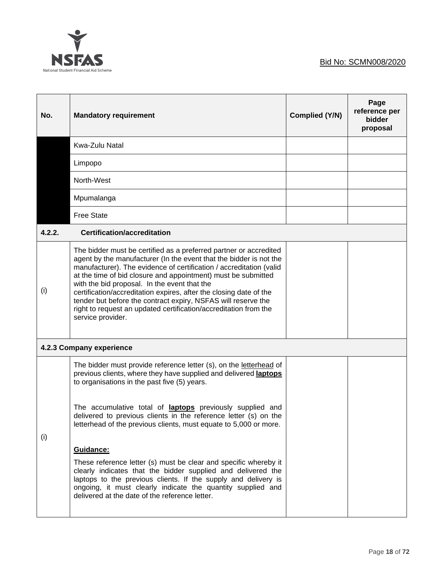

| No.    | <b>Mandatory requirement</b>                                                                                                                                                                                                                                                                                                                                                                                                                                                                                                                                                                                                                                                                                                     | <b>Complied (Y/N)</b> | Page<br>reference per<br>bidder<br>proposal |
|--------|----------------------------------------------------------------------------------------------------------------------------------------------------------------------------------------------------------------------------------------------------------------------------------------------------------------------------------------------------------------------------------------------------------------------------------------------------------------------------------------------------------------------------------------------------------------------------------------------------------------------------------------------------------------------------------------------------------------------------------|-----------------------|---------------------------------------------|
|        | Kwa-Zulu Natal                                                                                                                                                                                                                                                                                                                                                                                                                                                                                                                                                                                                                                                                                                                   |                       |                                             |
|        | Limpopo                                                                                                                                                                                                                                                                                                                                                                                                                                                                                                                                                                                                                                                                                                                          |                       |                                             |
|        | North-West                                                                                                                                                                                                                                                                                                                                                                                                                                                                                                                                                                                                                                                                                                                       |                       |                                             |
|        | Mpumalanga                                                                                                                                                                                                                                                                                                                                                                                                                                                                                                                                                                                                                                                                                                                       |                       |                                             |
|        | <b>Free State</b>                                                                                                                                                                                                                                                                                                                                                                                                                                                                                                                                                                                                                                                                                                                |                       |                                             |
| 4.2.2. | <b>Certification/accreditation</b>                                                                                                                                                                                                                                                                                                                                                                                                                                                                                                                                                                                                                                                                                               |                       |                                             |
| (i)    | The bidder must be certified as a preferred partner or accredited<br>agent by the manufacturer (In the event that the bidder is not the<br>manufacturer). The evidence of certification / accreditation (valid<br>at the time of bid closure and appointment) must be submitted<br>with the bid proposal. In the event that the<br>certification/accreditation expires, after the closing date of the<br>tender but before the contract expiry, NSFAS will reserve the<br>right to request an updated certification/accreditation from the<br>service provider.                                                                                                                                                                  |                       |                                             |
|        | 4.2.3 Company experience                                                                                                                                                                                                                                                                                                                                                                                                                                                                                                                                                                                                                                                                                                         |                       |                                             |
| (i)    | The bidder must provide reference letter (s), on the letterhead of<br>previous clients, where they have supplied and delivered laptops<br>to organisations in the past five (5) years.<br>The accumulative total of laptops previously supplied and<br>delivered to previous clients in the reference letter (s) on the<br>letterhead of the previous clients, must equate to 5,000 or more.<br>Guidance:<br>These reference letter (s) must be clear and specific whereby it<br>clearly indicates that the bidder supplied and delivered the<br>laptops to the previous clients. If the supply and delivery is<br>ongoing, it must clearly indicate the quantity supplied and<br>delivered at the date of the reference letter. |                       |                                             |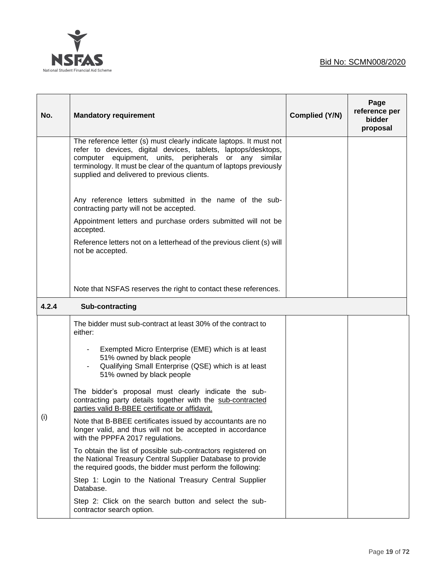

| No.   | <b>Mandatory requirement</b>                                                                                                                                                                                                                                                                                       | Complied (Y/N) | Page<br>reference per<br>bidder<br>proposal |
|-------|--------------------------------------------------------------------------------------------------------------------------------------------------------------------------------------------------------------------------------------------------------------------------------------------------------------------|----------------|---------------------------------------------|
|       | The reference letter (s) must clearly indicate laptops. It must not<br>refer to devices, digital devices, tablets, laptops/desktops,<br>computer equipment, units, peripherals or any similar<br>terminology. It must be clear of the quantum of laptops previously<br>supplied and delivered to previous clients. |                |                                             |
|       | Any reference letters submitted in the name of the sub-<br>contracting party will not be accepted.                                                                                                                                                                                                                 |                |                                             |
|       | Appointment letters and purchase orders submitted will not be<br>accepted.                                                                                                                                                                                                                                         |                |                                             |
|       | Reference letters not on a letterhead of the previous client (s) will<br>not be accepted.                                                                                                                                                                                                                          |                |                                             |
|       |                                                                                                                                                                                                                                                                                                                    |                |                                             |
|       | Note that NSFAS reserves the right to contact these references.                                                                                                                                                                                                                                                    |                |                                             |
| 4.2.4 | Sub-contracting                                                                                                                                                                                                                                                                                                    |                |                                             |
|       | The bidder must sub-contract at least 30% of the contract to<br>either:                                                                                                                                                                                                                                            |                |                                             |
| (i)   | Exempted Micro Enterprise (EME) which is at least<br>51% owned by black people<br>Qualifying Small Enterprise (QSE) which is at least<br>51% owned by black people                                                                                                                                                 |                |                                             |
|       | The bidder's proposal must clearly indicate the sub-<br>contracting party details together with the sub-contracted<br>parties valid B-BBEE certificate or affidavit.                                                                                                                                               |                |                                             |
|       | Note that B-BBEE certificates issued by accountants are no<br>longer valid, and thus will not be accepted in accordance<br>with the PPPFA 2017 regulations.                                                                                                                                                        |                |                                             |
|       | To obtain the list of possible sub-contractors registered on<br>the National Treasury Central Supplier Database to provide<br>the required goods, the bidder must perform the following:                                                                                                                           |                |                                             |
|       | Step 1: Login to the National Treasury Central Supplier<br>Database.                                                                                                                                                                                                                                               |                |                                             |
|       | Step 2: Click on the search button and select the sub-<br>contractor search option.                                                                                                                                                                                                                                |                |                                             |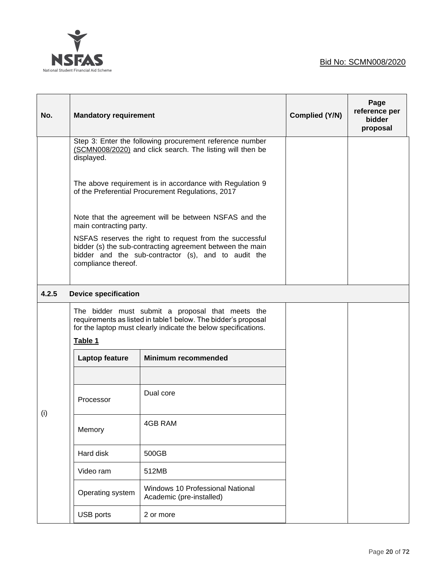

| No.   | <b>Mandatory requirement</b>                                                                                                                                                                       |                                                                                                                                                                                     | Complied (Y/N) | Page<br>reference per<br>bidder<br>proposal |  |
|-------|----------------------------------------------------------------------------------------------------------------------------------------------------------------------------------------------------|-------------------------------------------------------------------------------------------------------------------------------------------------------------------------------------|----------------|---------------------------------------------|--|
|       | displayed.                                                                                                                                                                                         | Step 3: Enter the following procurement reference number<br>(SCMN008/2020) and click search. The listing will then be                                                               |                |                                             |  |
|       |                                                                                                                                                                                                    | The above requirement is in accordance with Regulation 9<br>of the Preferential Procurement Regulations, 2017                                                                       |                |                                             |  |
|       | main contracting party.                                                                                                                                                                            | Note that the agreement will be between NSFAS and the                                                                                                                               |                |                                             |  |
|       | NSFAS reserves the right to request from the successful<br>bidder (s) the sub-contracting agreement between the main<br>bidder and the sub-contractor (s), and to audit the<br>compliance thereof. |                                                                                                                                                                                     |                |                                             |  |
| 4.2.5 | <b>Device specification</b>                                                                                                                                                                        |                                                                                                                                                                                     |                |                                             |  |
|       | Table 1                                                                                                                                                                                            | The bidder must submit a proposal that meets the<br>requirements as listed in table1 below. The bidder's proposal<br>for the laptop must clearly indicate the below specifications. |                |                                             |  |
|       | Laptop feature                                                                                                                                                                                     | <b>Minimum recommended</b>                                                                                                                                                          |                |                                             |  |
|       |                                                                                                                                                                                                    |                                                                                                                                                                                     |                |                                             |  |
| (i)   | Processor                                                                                                                                                                                          | Dual core                                                                                                                                                                           |                |                                             |  |
|       | Memory                                                                                                                                                                                             | 4GB RAM                                                                                                                                                                             |                |                                             |  |
|       | Hard disk                                                                                                                                                                                          | 500GB                                                                                                                                                                               |                |                                             |  |
|       | Video ram                                                                                                                                                                                          | 512MB                                                                                                                                                                               |                |                                             |  |
|       | Windows 10 Professional National<br>Operating system<br>Academic (pre-installed)                                                                                                                   |                                                                                                                                                                                     |                |                                             |  |
|       | USB ports                                                                                                                                                                                          | 2 or more                                                                                                                                                                           |                |                                             |  |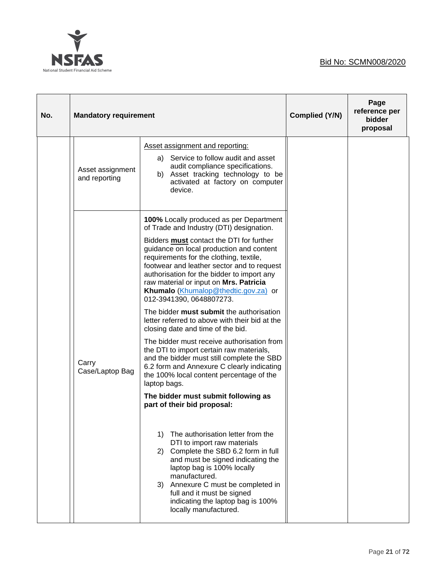



| No. | <b>Mandatory requirement</b>      |                                                                                                                                                                                                                                                                                                                                                                                                                                                                                                                                                                                                                                                                                                                                                                                                                                                                                             | Complied (Y/N) | Page<br>reference per<br>bidder<br>proposal |
|-----|-----------------------------------|---------------------------------------------------------------------------------------------------------------------------------------------------------------------------------------------------------------------------------------------------------------------------------------------------------------------------------------------------------------------------------------------------------------------------------------------------------------------------------------------------------------------------------------------------------------------------------------------------------------------------------------------------------------------------------------------------------------------------------------------------------------------------------------------------------------------------------------------------------------------------------------------|----------------|---------------------------------------------|
|     | Asset assignment<br>and reporting | Asset assignment and reporting:<br>a) Service to follow audit and asset<br>audit compliance specifications.<br>b) Asset tracking technology to be<br>activated at factory on computer<br>device.                                                                                                                                                                                                                                                                                                                                                                                                                                                                                                                                                                                                                                                                                            |                |                                             |
|     | Carry<br>Case/Laptop Bag          | 100% Locally produced as per Department<br>of Trade and Industry (DTI) designation.<br>Bidders must contact the DTI for further<br>guidance on local production and content<br>requirements for the clothing, textile,<br>footwear and leather sector and to request<br>authorisation for the bidder to import any<br>raw material or input on Mrs. Patricia<br>Khumalo (Khumalop@thedtic.gov.za) or<br>012-3941390, 0648807273.<br>The bidder must submit the authorisation<br>letter referred to above with their bid at the<br>closing date and time of the bid.<br>The bidder must receive authorisation from<br>the DTI to import certain raw materials,<br>and the bidder must still complete the SBD<br>6.2 form and Annexure C clearly indicating<br>the 100% local content percentage of the<br>laptop bags.<br>The bidder must submit following as<br>part of their bid proposal: |                |                                             |
|     |                                   | The authorisation letter from the<br>1)<br>DTI to import raw materials<br>Complete the SBD 6.2 form in full<br>2)<br>and must be signed indicating the<br>laptop bag is 100% locally<br>manufactured.<br>Annexure C must be completed in<br>3)<br>full and it must be signed<br>indicating the laptop bag is 100%<br>locally manufactured.                                                                                                                                                                                                                                                                                                                                                                                                                                                                                                                                                  |                |                                             |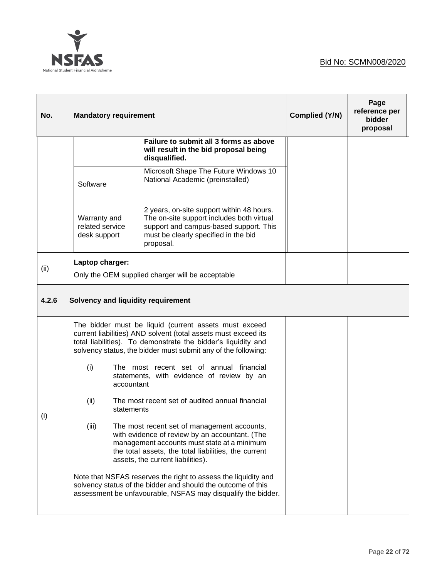



| No.   | <b>Mandatory requirement</b>                    |                                                                                                                                                                                                                                                           | Complied (Y/N) | Page<br>reference per<br><b>bidder</b><br>proposal |
|-------|-------------------------------------------------|-----------------------------------------------------------------------------------------------------------------------------------------------------------------------------------------------------------------------------------------------------------|----------------|----------------------------------------------------|
|       |                                                 | Failure to submit all 3 forms as above<br>will result in the bid proposal being<br>disqualified.                                                                                                                                                          |                |                                                    |
|       | Software                                        | Microsoft Shape The Future Windows 10<br>National Academic (preinstalled)                                                                                                                                                                                 |                |                                                    |
|       | Warranty and<br>related service<br>desk support | 2 years, on-site support within 48 hours.<br>The on-site support includes both virtual<br>support and campus-based support. This<br>must be clearly specified in the bid<br>proposal.                                                                     |                |                                                    |
| (ii)  | Laptop charger:                                 | Only the OEM supplied charger will be acceptable                                                                                                                                                                                                          |                |                                                    |
| 4.2.6 | Solvency and liquidity requirement              |                                                                                                                                                                                                                                                           |                |                                                    |
|       |                                                 | The bidder must be liquid (current assets must exceed<br>current liabilities) AND solvent (total assets must exceed its<br>total liabilities). To demonstrate the bidder's liquidity and<br>solvency status, the bidder must submit any of the following: |                |                                                    |
|       | (i)<br>accountant                               | The most recent set of annual financial<br>statements, with evidence of review by an                                                                                                                                                                      |                |                                                    |
| (i)   | (ii)<br>statements                              | The most recent set of audited annual financial                                                                                                                                                                                                           |                |                                                    |
|       | (iii)                                           | The most recent set of management accounts,<br>with evidence of review by an accountant. (The<br>management accounts must state at a minimum<br>the total assets, the total liabilities, the current<br>assets, the current liabilities).                 |                |                                                    |
|       |                                                 | Note that NSFAS reserves the right to assess the liquidity and<br>solvency status of the bidder and should the outcome of this<br>assessment be unfavourable, NSFAS may disqualify the bidder.                                                            |                |                                                    |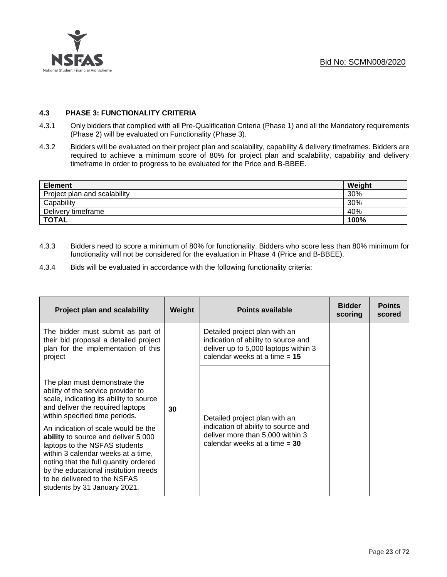

## **4.3 PHASE 3: FUNCTIONALITY CRITERIA**

- 4.3.1 Only bidders that complied with all Pre-Qualification Criteria (Phase 1) and all the Mandatory requirements (Phase 2) will be evaluated on Functionality (Phase 3).
- 4.3.2 Bidders will be evaluated on their project plan and scalability, capability & delivery timeframes. Bidders are required to achieve a minimum score of 80% for project plan and scalability, capability and delivery timeframe in order to progress to be evaluated for the Price and B-BBEE.

| <b>Element</b>               | Weight |
|------------------------------|--------|
| Project plan and scalability | 30%    |
| Capability                   | 30%    |
| Delivery timeframe           | 40%    |
| <b>TOTAL</b>                 | 100%   |

- 4.3.3 Bidders need to score a minimum of 80% for functionality. Bidders who score less than 80% minimum for functionality will not be considered for the evaluation in Phase 4 (Price and B-BBEE).
- 4.3.4 Bids will be evaluated in accordance with the following functionality criteria:

| <b>Project plan and scalability</b>                                                                                                                                                                                                                                                                | Weight | <b>Points available</b>                                                                                                                         | <b>Bidder</b><br>scoring | <b>Points</b><br>scored |
|----------------------------------------------------------------------------------------------------------------------------------------------------------------------------------------------------------------------------------------------------------------------------------------------------|--------|-------------------------------------------------------------------------------------------------------------------------------------------------|--------------------------|-------------------------|
| The bidder must submit as part of<br>their bid proposal a detailed project<br>plan for the implementation of this<br>project                                                                                                                                                                       |        | Detailed project plan with an<br>indication of ability to source and<br>deliver up to 5,000 laptops within 3<br>calendar weeks at a time $= 15$ |                          |                         |
| The plan must demonstrate the<br>ability of the service provider to<br>scale, indicating its ability to source<br>and deliver the required laptops<br>within specified time periods.                                                                                                               | 30     | Detailed project plan with an                                                                                                                   |                          |                         |
| An indication of scale would be the<br>ability to source and deliver 5 000<br>laptops to the NSFAS students<br>within 3 calendar weeks at a time,<br>noting that the full quantity ordered<br>by the educational institution needs<br>to be delivered to the NSFAS<br>students by 31 January 2021. |        | indication of ability to source and<br>deliver more than 5,000 within 3<br>calendar weeks at a time $= 30$                                      |                          |                         |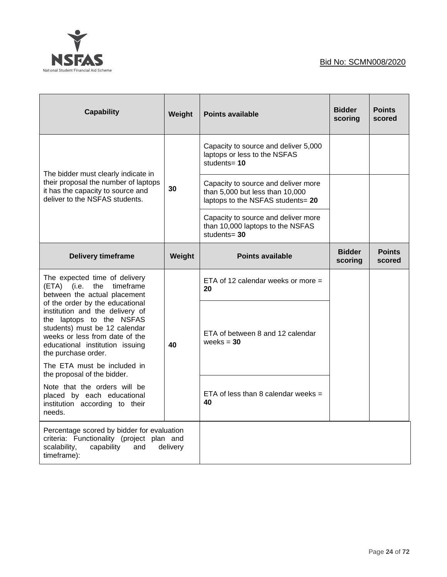

| <b>Capability</b>                                                                                                                                                                                                           | Weight | <b>Points available</b>                                                                                     | <b>Bidder</b><br>scoring | <b>Points</b><br>scored |
|-----------------------------------------------------------------------------------------------------------------------------------------------------------------------------------------------------------------------------|--------|-------------------------------------------------------------------------------------------------------------|--------------------------|-------------------------|
| The bidder must clearly indicate in                                                                                                                                                                                         |        | Capacity to source and deliver 5,000<br>laptops or less to the NSFAS<br>students= $10$                      |                          |                         |
| their proposal the number of laptops<br>it has the capacity to source and<br>deliver to the NSFAS students.                                                                                                                 | 30     | Capacity to source and deliver more<br>than 5,000 but less than 10,000<br>laptops to the NSFAS students= 20 |                          |                         |
|                                                                                                                                                                                                                             |        | Capacity to source and deliver more<br>than 10,000 laptops to the NSFAS<br>students= $30$                   |                          |                         |
| <b>Delivery timeframe</b>                                                                                                                                                                                                   | Weight | <b>Points available</b>                                                                                     | <b>Bidder</b><br>scoring | <b>Points</b><br>scored |
| The expected time of delivery<br>$(ETA)$ (i.e.<br>the<br>timeframe<br>between the actual placement                                                                                                                          |        | ETA of 12 calendar weeks or more $=$<br>20                                                                  |                          |                         |
| of the order by the educational<br>institution and the delivery of<br>the laptops to the NSFAS<br>students) must be 12 calendar<br>weeks or less from date of the<br>educational institution issuing<br>the purchase order. | 40     | ETA of between 8 and 12 calendar<br>weeks $= 30$                                                            |                          |                         |
| The ETA must be included in<br>the proposal of the bidder.                                                                                                                                                                  |        |                                                                                                             |                          |                         |
| Note that the orders will be<br>placed by each educational<br>institution according to their<br>needs.                                                                                                                      |        | ETA of less than 8 calendar weeks $=$<br>40                                                                 |                          |                         |
| Percentage scored by bidder for evaluation<br>criteria: Functionality (project plan and<br>scalability,<br>capability<br>and<br>delivery<br>timeframe):                                                                     |        |                                                                                                             |                          |                         |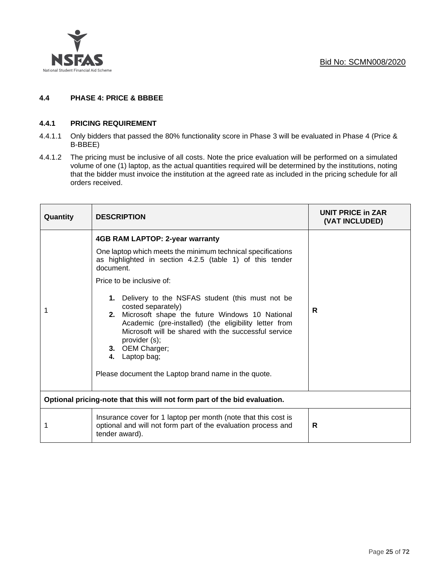

# **4.4 PHASE 4: PRICE & BBBEE**

#### **4.4.1 PRICING REQUIREMENT**

- 4.4.1.1 Only bidders that passed the 80% functionality score in Phase 3 will be evaluated in Phase 4 (Price & B-BBEE)
- 4.4.1.2 The pricing must be inclusive of all costs. Note the price evaluation will be performed on a simulated volume of one (1) laptop, as the actual quantities required will be determined by the institutions, noting that the bidder must invoice the institution at the agreed rate as included in the pricing schedule for all orders received.

| Quantity | <b>DESCRIPTION</b>                                                                                                                                                                                                                                                                                                                                                                                                                                                                                                                                                  | <b>UNIT PRICE in ZAR</b><br>(VAT INCLUDED) |
|----------|---------------------------------------------------------------------------------------------------------------------------------------------------------------------------------------------------------------------------------------------------------------------------------------------------------------------------------------------------------------------------------------------------------------------------------------------------------------------------------------------------------------------------------------------------------------------|--------------------------------------------|
|          | 4GB RAM LAPTOP: 2-year warranty<br>One laptop which meets the minimum technical specifications<br>as highlighted in section 4.2.5 (table 1) of this tender<br>document.<br>Price to be inclusive of:<br>1. Delivery to the NSFAS student (this must not be<br>costed separately)<br>2. Microsoft shape the future Windows 10 National<br>Academic (pre-installed) (the eligibility letter from<br>Microsoft will be shared with the successful service<br>provider (s);<br>3. OEM Charger;<br>4. Laptop bag;<br>Please document the Laptop brand name in the quote. | R                                          |
|          | Optional pricing-note that this will not form part of the bid evaluation.                                                                                                                                                                                                                                                                                                                                                                                                                                                                                           |                                            |
|          | Insurance cover for 1 laptop per month (note that this cost is<br>optional and will not form part of the evaluation process and<br>tender award).                                                                                                                                                                                                                                                                                                                                                                                                                   | R                                          |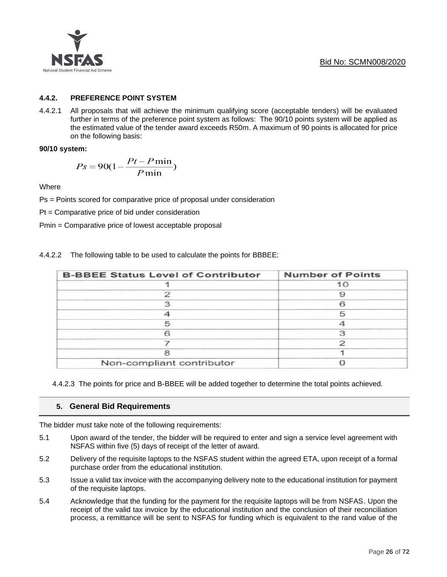

# **4.4.2. PREFERENCE POINT SYSTEM**

4.4.2.1 All proposals that will achieve the minimum qualifying score (acceptable tenders) will be evaluated further in terms of the preference point system as follows: The 90/10 points system will be applied as the estimated value of the tender award exceeds R50m. A maximum of 90 points is allocated for price on the following basis:

#### **90/10 system:**

$$
Ps = 90(1 - \frac{Pt - P\min}{P\min})
$$

**Where** 

Ps = Points scored for comparative price of proposal under consideration

Pt = Comparative price of bid under consideration

Pmin = Comparative price of lowest acceptable proposal

| <b>B-BBEE Status Level of Contributor</b> | <b>Number of Points</b> |
|-------------------------------------------|-------------------------|
|                                           | 10                      |
|                                           |                         |
| っ                                         |                         |
|                                           | 5                       |
|                                           |                         |
|                                           | 3                       |
|                                           |                         |
|                                           |                         |
| Non-compliant contributor                 |                         |

4.4.2.2 The following table to be used to calculate the points for BBBEE:

4.4.2.3 The points for price and B-BBEE will be added together to determine the total points achieved.

# **5. General Bid Requirements**

The bidder must take note of the following requirements:

- 5.1 Upon award of the tender, the bidder will be required to enter and sign a service level agreement with NSFAS within five (5) days of receipt of the letter of award.
- 5.2 Delivery of the requisite laptops to the NSFAS student within the agreed ETA, upon receipt of a formal purchase order from the educational institution.
- 5.3 Issue a valid tax invoice with the accompanying delivery note to the educational institution for payment of the requisite laptops.
- 5.4 Acknowledge that the funding for the payment for the requisite laptops will be from NSFAS. Upon the receipt of the valid tax invoice by the educational institution and the conclusion of their reconciliation process, a remittance will be sent to NSFAS for funding which is equivalent to the rand value of the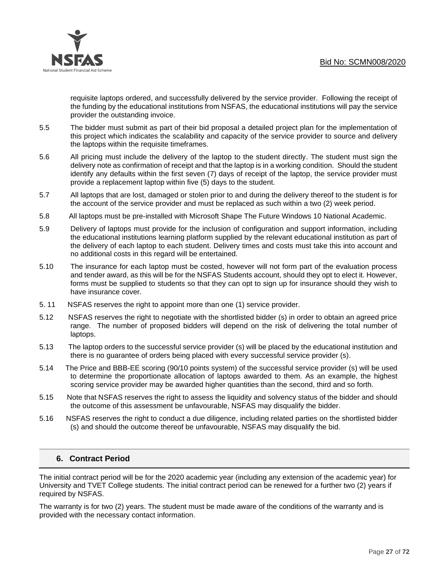

requisite laptops ordered, and successfully delivered by the service provider. Following the receipt of the funding by the educational institutions from NSFAS, the educational institutions will pay the service provider the outstanding invoice.

- 5.5 The bidder must submit as part of their bid proposal a detailed project plan for the implementation of this project which indicates the scalability and capacity of the service provider to source and delivery the laptops within the requisite timeframes.
- 5.6 All pricing must include the delivery of the laptop to the student directly. The student must sign the delivery note as confirmation of receipt and that the laptop is in a working condition. Should the student identify any defaults within the first seven (7) days of receipt of the laptop, the service provider must provide a replacement laptop within five (5) days to the student.
- 5.7 All laptops that are lost, damaged or stolen prior to and during the delivery thereof to the student is for the account of the service provider and must be replaced as such within a two (2) week period.
- 5.8 All laptops must be pre-installed with Microsoft Shape The Future Windows 10 National Academic.
- 5.9 Delivery of laptops must provide for the inclusion of configuration and support information, including the educational institutions learning platform supplied by the relevant educational institution as part of the delivery of each laptop to each student. Delivery times and costs must take this into account and no additional costs in this regard will be entertained.
- 5.10 The insurance for each laptop must be costed, however will not form part of the evaluation process and tender award, as this will be for the NSFAS Students account, should they opt to elect it. However, forms must be supplied to students so that they can opt to sign up for insurance should they wish to have insurance cover.
- 5. 11 NSFAS reserves the right to appoint more than one (1) service provider.
- 5.12 NSFAS reserves the right to negotiate with the shortlisted bidder (s) in order to obtain an agreed price range. The number of proposed bidders will depend on the risk of delivering the total number of laptops.
- 5.13 The laptop orders to the successful service provider (s) will be placed by the educational institution and there is no guarantee of orders being placed with every successful service provider (s).
- 5.14 The Price and BBB-EE scoring (90/10 points system) of the successful service provider (s) will be used to determine the proportionate allocation of laptops awarded to them. As an example, the highest scoring service provider may be awarded higher quantities than the second, third and so forth.
- 5.15 Note that NSFAS reserves the right to assess the liquidity and solvency status of the bidder and should the outcome of this assessment be unfavourable, NSFAS may disqualify the bidder.
- 5.16 NSFAS reserves the right to conduct a due diligence, including related parties on the shortlisted bidder (s) and should the outcome thereof be unfavourable, NSFAS may disqualify the bid.

# **6. Contract Period**

The initial contract period will be for the 2020 academic year (including any extension of the academic year) for University and TVET College students. The initial contract period can be renewed for a further two (2) years if required by NSFAS.

The warranty is for two (2) years. The student must be made aware of the conditions of the warranty and is provided with the necessary contact information.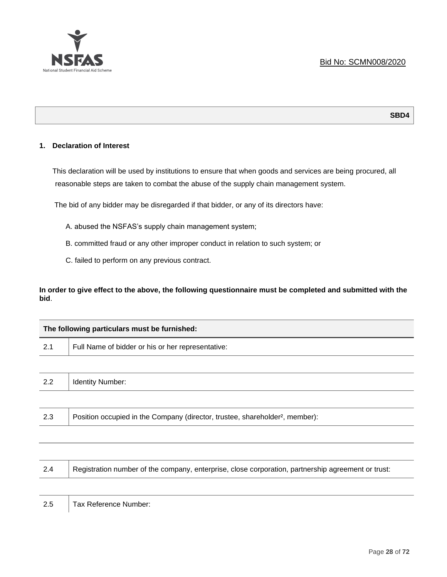

### **1. Declaration of Interest**

This declaration will be used by institutions to ensure that when goods and services are being procured, all reasonable steps are taken to combat the abuse of the supply chain management system.

The bid of any bidder may be disregarded if that bidder, or any of its directors have:

- A. abused the NSFAS's supply chain management system;
- B. committed fraud or any other improper conduct in relation to such system; or
- C. failed to perform on any previous contract.

**In order to give effect to the above, the following questionnaire must be completed and submitted with the bid**.

|     | The following particulars must be furnished:      |  |
|-----|---------------------------------------------------|--|
| 2.1 | Full Name of bidder or his or her representative: |  |
|     |                                                   |  |
| 2.2 | <b>Identity Number:</b>                           |  |
|     |                                                   |  |

2.3 Position occupied in the Company (director, trustee, shareholder<sup>2</sup>, member):

| 2.4 | Registration number of the company, enterprise, close corporation, partnership agreement or trust: |
|-----|----------------------------------------------------------------------------------------------------|
|     |                                                                                                    |

2.5 | Tax Reference Number: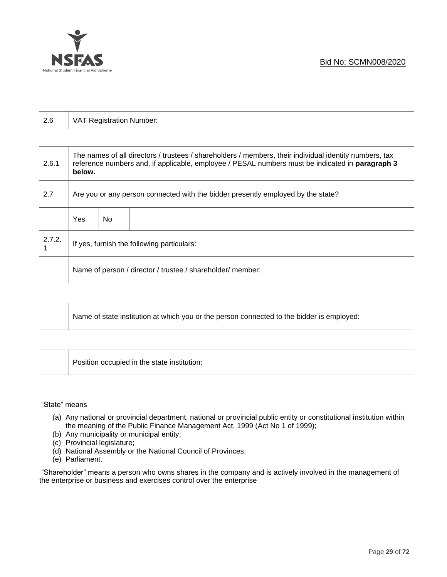

| 2.6    | VAT Registration Number:                                                                                                                                                                                            |     |  |  |
|--------|---------------------------------------------------------------------------------------------------------------------------------------------------------------------------------------------------------------------|-----|--|--|
|        |                                                                                                                                                                                                                     |     |  |  |
| 2.6.1  | The names of all directors / trustees / shareholders / members, their individual identity numbers, tax<br>reference numbers and, if applicable, employee / PESAL numbers must be indicated in paragraph 3<br>below. |     |  |  |
| 2.7    | Are you or any person connected with the bidder presently employed by the state?                                                                                                                                    |     |  |  |
|        | Yes                                                                                                                                                                                                                 | No. |  |  |
| 2.7.2. | If yes, furnish the following particulars:                                                                                                                                                                          |     |  |  |
|        | Name of person / director / trustee / shareholder/ member:                                                                                                                                                          |     |  |  |

|  | Name of state institution at which you or the person connected to the bidder is employed: |
|--|-------------------------------------------------------------------------------------------|
|--|-------------------------------------------------------------------------------------------|

Position occupied in the state institution:

"State" means

- (a) Any national or provincial department, national or provincial public entity or constitutional institution within the meaning of the Public Finance Management Act, 1999 (Act No 1 of 1999);
- (b) Any municipality or municipal entity;
- (c) Provincial legislature;
- (d) National Assembly or the National Council of Provinces;
- (e) Parliament.

"Shareholder" means a person who owns shares in the company and is actively involved in the management of the enterprise or business and exercises control over the enterprise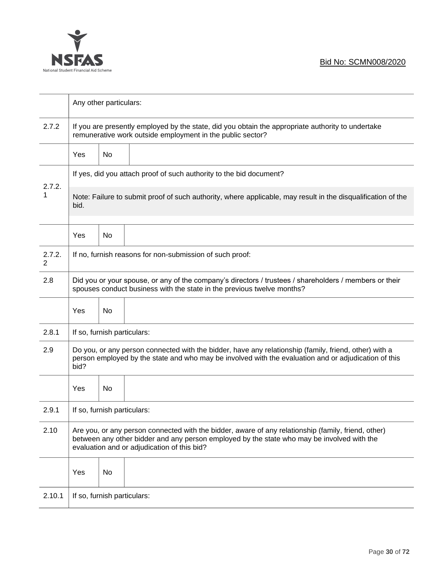

|             | Any other particulars:                                                                                                                                                                                                                           |    |  |  |  |
|-------------|--------------------------------------------------------------------------------------------------------------------------------------------------------------------------------------------------------------------------------------------------|----|--|--|--|
| 2.7.2       | If you are presently employed by the state, did you obtain the appropriate authority to undertake<br>remunerative work outside employment in the public sector?                                                                                  |    |  |  |  |
|             | Yes                                                                                                                                                                                                                                              | No |  |  |  |
|             | If yes, did you attach proof of such authority to the bid document?                                                                                                                                                                              |    |  |  |  |
| 2.7.2.<br>1 | Note: Failure to submit proof of such authority, where applicable, may result in the disqualification of the<br>bid.                                                                                                                             |    |  |  |  |
|             | Yes                                                                                                                                                                                                                                              | No |  |  |  |
| 2.7.2.<br>2 | If no, furnish reasons for non-submission of such proof:                                                                                                                                                                                         |    |  |  |  |
| 2.8         | Did you or your spouse, or any of the company's directors / trustees / shareholders / members or their<br>spouses conduct business with the state in the previous twelve months?                                                                 |    |  |  |  |
|             | Yes                                                                                                                                                                                                                                              | No |  |  |  |
| 2.8.1       | If so, furnish particulars:                                                                                                                                                                                                                      |    |  |  |  |
| 2.9         | Do you, or any person connected with the bidder, have any relationship (family, friend, other) with a<br>person employed by the state and who may be involved with the evaluation and or adjudication of this<br>bid?                            |    |  |  |  |
|             | Yes                                                                                                                                                                                                                                              | No |  |  |  |
| 2.9.1       | If so, furnish particulars:                                                                                                                                                                                                                      |    |  |  |  |
| 2.10        | Are you, or any person connected with the bidder, aware of any relationship (family, friend, other)<br>between any other bidder and any person employed by the state who may be involved with the<br>evaluation and or adjudication of this bid? |    |  |  |  |
|             | Yes                                                                                                                                                                                                                                              | No |  |  |  |
| 2.10.1      | If so, furnish particulars:                                                                                                                                                                                                                      |    |  |  |  |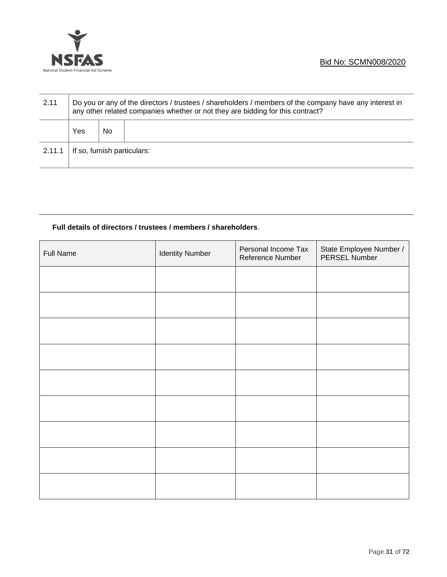

| 2.11   | Do you or any of the directors / trustees / shareholders / members of the company have any interest in<br>any other related companies whether or not they are bidding for this contract? |     |  |  |
|--------|------------------------------------------------------------------------------------------------------------------------------------------------------------------------------------------|-----|--|--|
|        | Yes                                                                                                                                                                                      | No. |  |  |
| 2.11.1 | If so, furnish particulars:                                                                                                                                                              |     |  |  |

# **Full details of directors / trustees / members / shareholders**.

| <b>Full Name</b> | <b>Identity Number</b> | Personal Income Tax<br>Reference Number | State Employee Number /<br>PERSEL Number |
|------------------|------------------------|-----------------------------------------|------------------------------------------|
|                  |                        |                                         |                                          |
|                  |                        |                                         |                                          |
|                  |                        |                                         |                                          |
|                  |                        |                                         |                                          |
|                  |                        |                                         |                                          |
|                  |                        |                                         |                                          |
|                  |                        |                                         |                                          |
|                  |                        |                                         |                                          |
|                  |                        |                                         |                                          |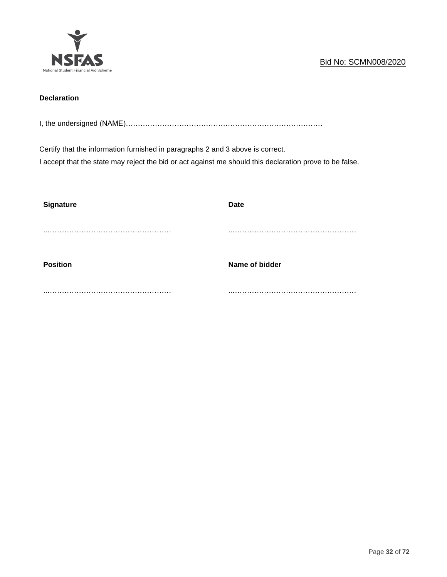

# **Declaration**

I, the undersigned (NAME)………………………………………………………………………

Certify that the information furnished in paragraphs 2 and 3 above is correct.

I accept that the state may reject the bid or act against me should this declaration prove to be false.

| <b>Signature</b> | <b>Date</b>    |
|------------------|----------------|
|                  |                |
|                  |                |
|                  |                |
| <b>Position</b>  | Name of bidder |
|                  |                |
|                  |                |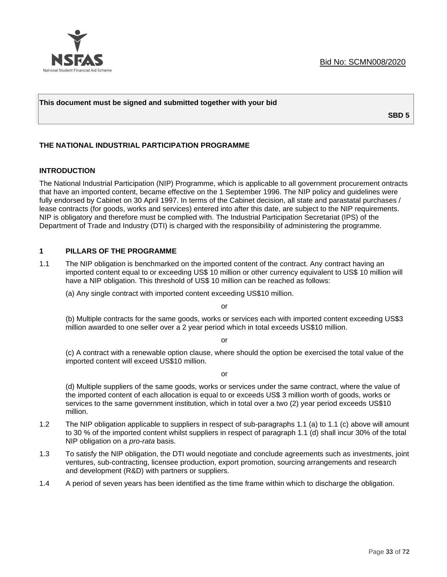

#### **This document must be signed and submitted together with your bid**

**SBD 5**

#### **THE NATIONAL INDUSTRIAL PARTICIPATION PROGRAMME**

#### **INTRODUCTION**

The National Industrial Participation (NIP) Programme, which is applicable to all government procurement ontracts that have an imported content, became effective on the 1 September 1996. The NIP policy and guidelines were fully endorsed by Cabinet on 30 April 1997. In terms of the Cabinet decision, all state and parastatal purchases / lease contracts (for goods, works and services) entered into after this date, are subject to the NIP requirements. NIP is obligatory and therefore must be complied with. The Industrial Participation Secretariat (IPS) of the Department of Trade and Industry (DTI) is charged with the responsibility of administering the programme.

#### **1 PILLARS OF THE PROGRAMME**

1.1 The NIP obligation is benchmarked on the imported content of the contract. Any contract having an imported content equal to or exceeding US\$ 10 million or other currency equivalent to US\$ 10 million will have a NIP obligation. This threshold of US\$ 10 million can be reached as follows:

(a) Any single contract with imported content exceeding US\$10 million.

or

(b) Multiple contracts for the same goods, works or services each with imported content exceeding US\$3 million awarded to one seller over a 2 year period which in total exceeds US\$10 million.

or

(c) A contract with a renewable option clause, where should the option be exercised the total value of the imported content will exceed US\$10 million.

or

(d) Multiple suppliers of the same goods, works or services under the same contract, where the value of the imported content of each allocation is equal to or exceeds US\$ 3 million worth of goods, works or services to the same government institution, which in total over a two (2) year period exceeds US\$10 million.

- 1.2 The NIP obligation applicable to suppliers in respect of sub-paragraphs 1.1 (a) to 1.1 (c) above will amount to 30 % of the imported content whilst suppliers in respect of paragraph 1.1 (d) shall incur 30% of the total NIP obligation on a *pro-rata* basis.
- 1.3 To satisfy the NIP obligation, the DTI would negotiate and conclude agreements such as investments, joint ventures, sub-contracting, licensee production, export promotion, sourcing arrangements and research and development (R&D) with partners or suppliers.
- 1.4 A period of seven years has been identified as the time frame within which to discharge the obligation.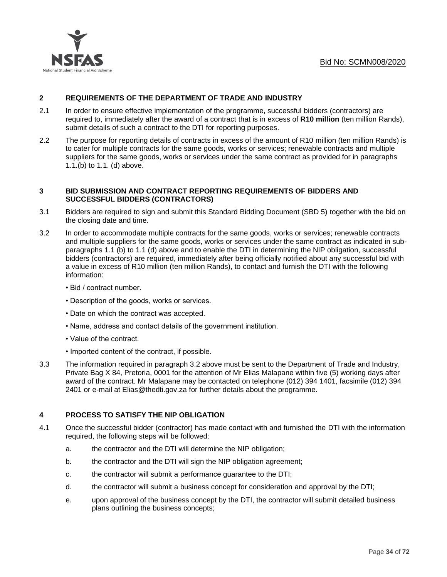

# **2 REQUIREMENTS OF THE DEPARTMENT OF TRADE AND INDUSTRY**

- 2.1 In order to ensure effective implementation of the programme, successful bidders (contractors) are required to, immediately after the award of a contract that is in excess of **R10 million** (ten million Rands), submit details of such a contract to the DTI for reporting purposes.
- 2.2 The purpose for reporting details of contracts in excess of the amount of R10 million (ten million Rands) is to cater for multiple contracts for the same goods, works or services; renewable contracts and multiple suppliers for the same goods, works or services under the same contract as provided for in paragraphs 1.1.(b) to 1.1. (d) above.

#### **3 BID SUBMISSION AND CONTRACT REPORTING REQUIREMENTS OF BIDDERS AND SUCCESSFUL BIDDERS (CONTRACTORS)**

- 3.1 Bidders are required to sign and submit this Standard Bidding Document (SBD 5) together with the bid on the closing date and time.
- 3.2 In order to accommodate multiple contracts for the same goods, works or services; renewable contracts and multiple suppliers for the same goods, works or services under the same contract as indicated in subparagraphs 1.1 (b) to 1.1 (d) above and to enable the DTI in determining the NIP obligation, successful bidders (contractors) are required, immediately after being officially notified about any successful bid with a value in excess of R10 million (ten million Rands), to contact and furnish the DTI with the following information:
	- Bid / contract number.
	- Description of the goods, works or services.
	- Date on which the contract was accepted.
	- Name, address and contact details of the government institution.
	- Value of the contract.
	- Imported content of the contract, if possible.
- 3.3 The information required in paragraph 3.2 above must be sent to the Department of Trade and Industry, Private Bag X 84, Pretoria, 0001 for the attention of Mr Elias Malapane within five (5) working days after award of the contract. Mr Malapane may be contacted on telephone (012) 394 1401, facsimile (012) 394 2401 or e-mail at Elias@thedti.gov.za for further details about the programme.

#### **4 PROCESS TO SATISFY THE NIP OBLIGATION**

- 4.1 Once the successful bidder (contractor) has made contact with and furnished the DTI with the information required, the following steps will be followed:
	- a. the contractor and the DTI will determine the NIP obligation;
	- b. the contractor and the DTI will sign the NIP obligation agreement;
	- c. the contractor will submit a performance guarantee to the DTI;
	- d. the contractor will submit a business concept for consideration and approval by the DTI;
	- e. upon approval of the business concept by the DTI, the contractor will submit detailed business plans outlining the business concepts;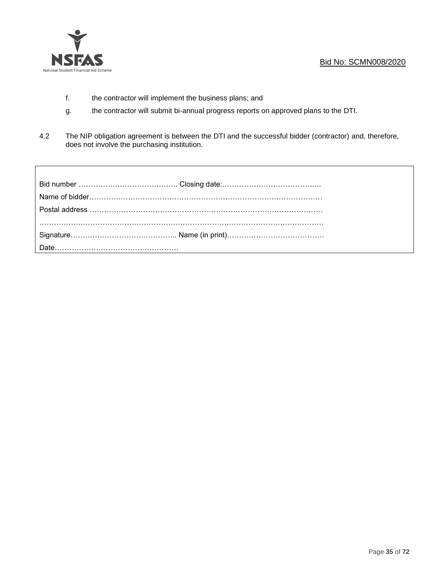

Г

- f. the contractor will implement the business plans; and
- g. the contractor will submit bi-annual progress reports on approved plans to the DTI.
- 4.2 The NIP obligation agreement is between the DTI and the successful bidder (contractor) and, therefore, does not involve the purchasing institution.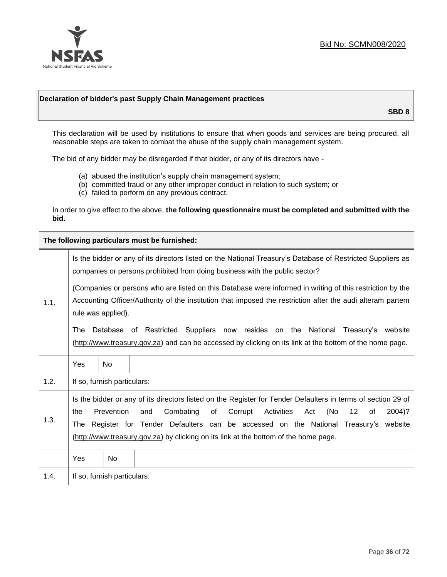

#### **Declaration of bidder's past Supply Chain Management practices**

**SBD 8**

This declaration will be used by institutions to ensure that when goods and services are being procured, all reasonable steps are taken to combat the abuse of the supply chain management system.

The bid of any bidder may be disregarded if that bidder, or any of its directors have -

- (a) abused the institution's supply chain management system;
- (b) committed fraud or any other improper conduct in relation to such system; or
- (c) failed to perform on any previous contract.

In order to give effect to the above, **the following questionnaire must be completed and submitted with the bid.**

**The following particulars must be furnished:**

|      | Is the bidder or any of its directors listed on the National Treasury's Database of Restricted Suppliers as<br>companies or persons prohibited from doing business with the public sector?                                                                                                                                                                                                                   |                             |  |  |
|------|--------------------------------------------------------------------------------------------------------------------------------------------------------------------------------------------------------------------------------------------------------------------------------------------------------------------------------------------------------------------------------------------------------------|-----------------------------|--|--|
| 1.1. | (Companies or persons who are listed on this Database were informed in writing of this restriction by the<br>Accounting Officer/Authority of the institution that imposed the restriction after the audi alteram partem<br>rule was applied).                                                                                                                                                                |                             |  |  |
|      | Database of Restricted Suppliers now resides on the National Treasury's website<br>The<br>(http://www.treasury.gov.za) and can be accessed by clicking on its link at the bottom of the home page.                                                                                                                                                                                                           |                             |  |  |
|      | Yes                                                                                                                                                                                                                                                                                                                                                                                                          | <b>No</b>                   |  |  |
| 1.2. |                                                                                                                                                                                                                                                                                                                                                                                                              | If so, furnish particulars: |  |  |
| 1.3. | Is the bidder or any of its directors listed on the Register for Tender Defaulters in terms of section 29 of<br>Prevention<br>Combating<br>(No<br>of<br>Corrupt<br>Activities<br>12<br>2004)?<br>the<br>and<br>Act<br>οf<br>Register for Tender Defaulters can be accessed on the National Treasury's website<br>The<br>(http://www.treasury.gov.za) by clicking on its link at the bottom of the home page. |                             |  |  |
|      | Yes                                                                                                                                                                                                                                                                                                                                                                                                          | No.                         |  |  |
| 1.4. |                                                                                                                                                                                                                                                                                                                                                                                                              | If so, furnish particulars: |  |  |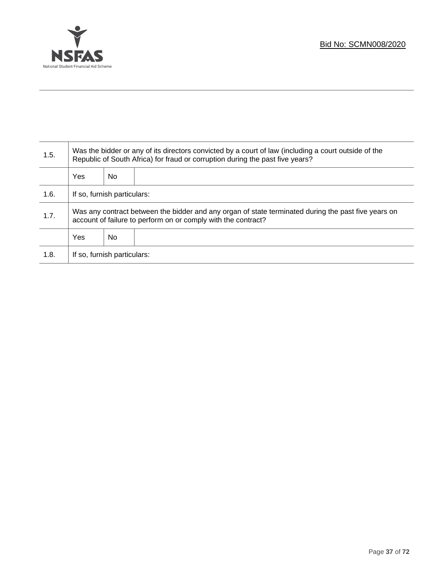

Τ

| 1.5. | Was the bidder or any of its directors convicted by a court of law (including a court outside of the<br>Republic of South Africa) for fraud or corruption during the past five years? |    |  |  |
|------|---------------------------------------------------------------------------------------------------------------------------------------------------------------------------------------|----|--|--|
|      | Yes                                                                                                                                                                                   | No |  |  |
| 1.6. | If so, furnish particulars:                                                                                                                                                           |    |  |  |
| 1.7. | Was any contract between the bidder and any organ of state terminated during the past five years on<br>account of failure to perform on or comply with the contract?                  |    |  |  |
|      | Yes                                                                                                                                                                                   | No |  |  |
| 1.8. | If so, furnish particulars:                                                                                                                                                           |    |  |  |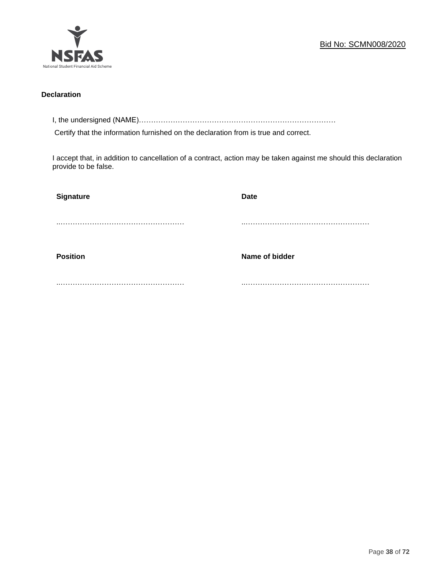

### **Declaration**

I, the undersigned (NAME)………………………………………………………………………

Certify that the information furnished on the declaration from is true and correct.

I accept that, in addition to cancellation of a contract, action may be taken against me should this declaration provide to be false.

| Signature       | <b>Date</b>    |
|-----------------|----------------|
|                 |                |
|                 |                |
| <b>Position</b> | Name of bidder |
|                 |                |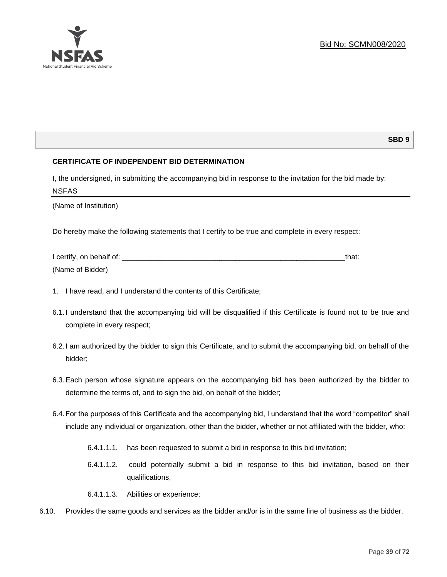

# **SBD 9**

# **CERTIFICATE OF INDEPENDENT BID DETERMINATION**

I, the undersigned, in submitting the accompanying bid in response to the invitation for the bid made by: NSFAS

(Name of Institution)

Do hereby make the following statements that I certify to be true and complete in every respect:

| I certify, on behalf of: |  |
|--------------------------|--|
| (Name of Bidder)         |  |

- 1. I have read, and I understand the contents of this Certificate;
- 6.1.I understand that the accompanying bid will be disqualified if this Certificate is found not to be true and complete in every respect;
- 6.2.I am authorized by the bidder to sign this Certificate, and to submit the accompanying bid, on behalf of the bidder;
- 6.3.Each person whose signature appears on the accompanying bid has been authorized by the bidder to determine the terms of, and to sign the bid, on behalf of the bidder;
- 6.4.For the purposes of this Certificate and the accompanying bid, I understand that the word "competitor" shall include any individual or organization, other than the bidder, whether or not affiliated with the bidder, who:
	- 6.4.1.1.1. has been requested to submit a bid in response to this bid invitation;
	- 6.4.1.1.2. could potentially submit a bid in response to this bid invitation, based on their qualifications,
	- 6.4.1.1.3. Abilities or experience;
- 6.10. Provides the same goods and services as the bidder and/or is in the same line of business as the bidder.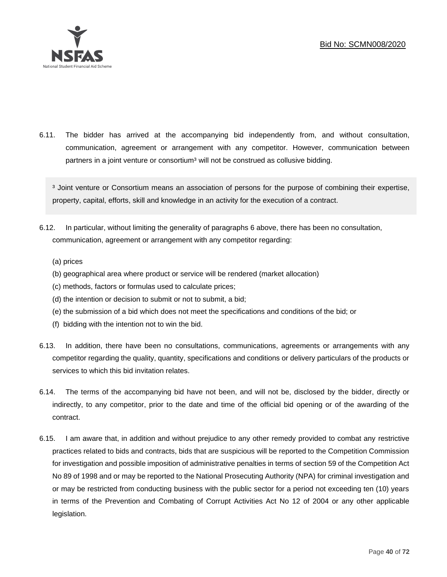

6.11. The bidder has arrived at the accompanying bid independently from, and without consultation, communication, agreement or arrangement with any competitor. However, communication between partners in a joint venture or consortium<sup>3</sup> will not be construed as collusive bidding.

<sup>3</sup> Joint venture or Consortium means an association of persons for the purpose of combining their expertise, property, capital, efforts, skill and knowledge in an activity for the execution of a contract.

- 6.12. In particular, without limiting the generality of paragraphs 6 above, there has been no consultation, communication, agreement or arrangement with any competitor regarding:
	- (a) prices
	- (b) geographical area where product or service will be rendered (market allocation)
	- (c) methods, factors or formulas used to calculate prices;
	- (d) the intention or decision to submit or not to submit, a bid;
	- (e) the submission of a bid which does not meet the specifications and conditions of the bid; or
	- (f) bidding with the intention not to win the bid.
- 6.13. In addition, there have been no consultations, communications, agreements or arrangements with any competitor regarding the quality, quantity, specifications and conditions or delivery particulars of the products or services to which this bid invitation relates.
- 6.14. The terms of the accompanying bid have not been, and will not be, disclosed by the bidder, directly or indirectly, to any competitor, prior to the date and time of the official bid opening or of the awarding of the contract.
- 6.15. I am aware that, in addition and without prejudice to any other remedy provided to combat any restrictive practices related to bids and contracts, bids that are suspicious will be reported to the Competition Commission for investigation and possible imposition of administrative penalties in terms of section 59 of the Competition Act No 89 of 1998 and or may be reported to the National Prosecuting Authority (NPA) for criminal investigation and or may be restricted from conducting business with the public sector for a period not exceeding ten (10) years in terms of the Prevention and Combating of Corrupt Activities Act No 12 of 2004 or any other applicable legislation.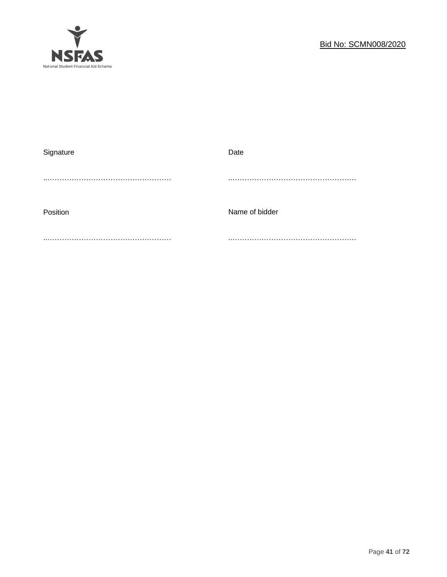

| Date           |
|----------------|
|                |
|                |
|                |
| Name of bidder |
|                |
|                |
|                |
|                |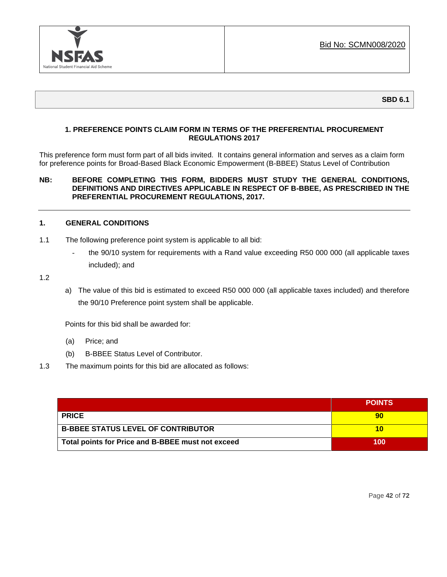

# **1. PREFERENCE POINTS CLAIM FORM IN TERMS OF THE PREFERENTIAL PROCUREMENT REGULATIONS 2017**

This preference form must form part of all bids invited. It contains general information and serves as a claim form for preference points for Broad-Based Black Economic Empowerment (B-BBEE) Status Level of Contribution

### **NB: BEFORE COMPLETING THIS FORM, BIDDERS MUST STUDY THE GENERAL CONDITIONS, DEFINITIONS AND DIRECTIVES APPLICABLE IN RESPECT OF B-BBEE, AS PRESCRIBED IN THE PREFERENTIAL PROCUREMENT REGULATIONS, 2017.**

#### **1. GENERAL CONDITIONS**

- 1.1 The following preference point system is applicable to all bid:
	- the 90/10 system for requirements with a Rand value exceeding R50 000 000 (all applicable taxes included); and
- 1.2
- a) The value of this bid is estimated to exceed R50 000 000 (all applicable taxes included) and therefore the 90/10 Preference point system shall be applicable.

Points for this bid shall be awarded for:

- (a) Price; and
- (b) B-BBEE Status Level of Contributor.
- 1.3 The maximum points for this bid are allocated as follows:

|                                                   | <b>POINTS</b> |
|---------------------------------------------------|---------------|
| <b>PRICE</b>                                      |               |
| <b>B-BBEE STATUS LEVEL OF CONTRIBUTOR</b>         |               |
| Total points for Price and B-BBEE must not exceed | 100           |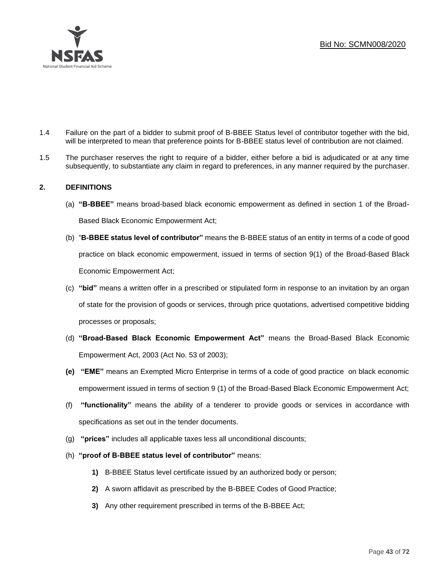

- 1.4 Failure on the part of a bidder to submit proof of B-BBEE Status level of contributor together with the bid, will be interpreted to mean that preference points for B-BBEE status level of contribution are not claimed.
- 1.5 The purchaser reserves the right to require of a bidder, either before a bid is adjudicated or at any time subsequently, to substantiate any claim in regard to preferences, in any manner required by the purchaser.

# **2. DEFINITIONS**

- (a) **"B-BBEE"** means broad-based black economic empowerment as defined in section 1 of the Broad-Based Black Economic Empowerment Act;
- (b) "**B-BBEE status level of contributor"** means the B-BBEE status of an entity in terms of a code of good practice on black economic empowerment, issued in terms of section 9(1) of the Broad-Based Black Economic Empowerment Act;
- (c) **"bid"** means a written offer in a prescribed or stipulated form in response to an invitation by an organ of state for the provision of goods or services, through price quotations, advertised competitive bidding processes or proposals;
- (d) **"Broad-Based Black Economic Empowerment Act"** means the Broad-Based Black Economic Empowerment Act, 2003 (Act No. 53 of 2003);
- **(e) "EME"** means an Exempted Micro Enterprise in terms of a code of good practice on black economic empowerment issued in terms of section 9 (1) of the Broad-Based Black Economic Empowerment Act;
- (f) **"functionality"** means the ability of a tenderer to provide goods or services in accordance with specifications as set out in the tender documents.
- (g) **"prices"** includes all applicable taxes less all unconditional discounts;
- (h) **"proof of B-BBEE status level of contributor"** means:
	- **1)** B-BBEE Status level certificate issued by an authorized body or person;
	- **2)** A sworn affidavit as prescribed by the B-BBEE Codes of Good Practice;
	- **3)** Any other requirement prescribed in terms of the B-BBEE Act;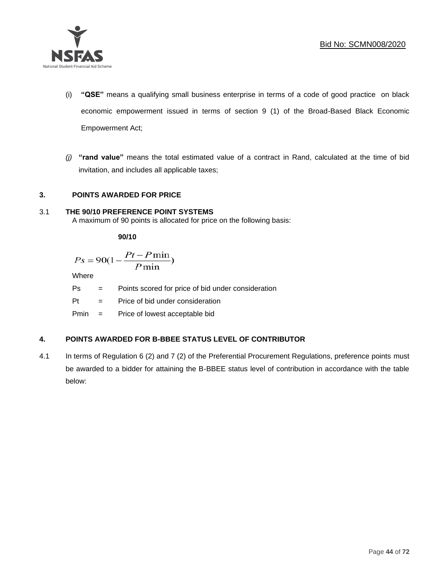

- (i) **"QSE"** means a qualifying small business enterprise in terms of a code of good practice on black economic empowerment issued in terms of section 9 (1) of the Broad-Based Black Economic Empowerment Act;
- *(j)* **"rand value"** means the total estimated value of a contract in Rand, calculated at the time of bid invitation, and includes all applicable taxes;

# **3. POINTS AWARDED FOR PRICE**

#### 3.1 **THE 90/10 PREFERENCE POINT SYSTEMS**

A maximum of 90 points is allocated for price on the following basis:

**90/10**

$$
Ps = 90(1 - \frac{Pt - P\min}{P\min})
$$

Where

Ps = Points scored for price of bid under consideration

Pt = Price of bid under consideration

Pmin = Price of lowest acceptable bid

# **4. POINTS AWARDED FOR B-BBEE STATUS LEVEL OF CONTRIBUTOR**

4.1 In terms of Regulation 6 (2) and 7 (2) of the Preferential Procurement Regulations, preference points must be awarded to a bidder for attaining the B-BBEE status level of contribution in accordance with the table below: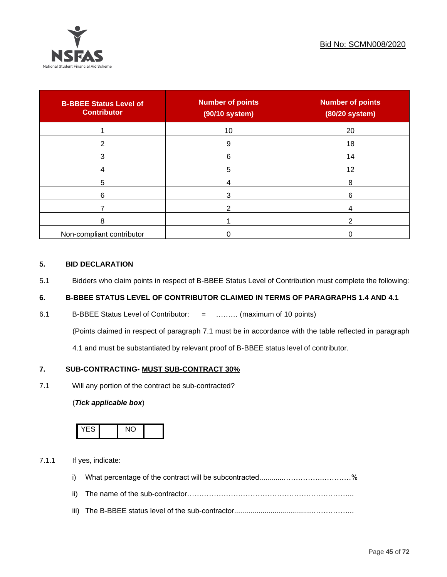

| <b>B-BBEE Status Level of</b><br><b>Contributor</b> | <b>Number of points</b><br>(90/10 system) | <b>Number of points</b><br>(80/20 system) |
|-----------------------------------------------------|-------------------------------------------|-------------------------------------------|
|                                                     | 10                                        | 20                                        |
| 2                                                   | 9                                         | 18                                        |
| 3                                                   | 6                                         | 14                                        |
|                                                     | 5                                         | 12                                        |
| 5                                                   |                                           | 8                                         |
| 6                                                   |                                           | 6                                         |
|                                                     |                                           |                                           |
| 8                                                   |                                           | ົ                                         |
| Non-compliant contributor                           |                                           |                                           |

# **5. BID DECLARATION**

5.1 Bidders who claim points in respect of B-BBEE Status Level of Contribution must complete the following:

# **6. B-BBEE STATUS LEVEL OF CONTRIBUTOR CLAIMED IN TERMS OF PARAGRAPHS 1.4 AND 4.1**

6.1 B-BBEE Status Level of Contributor: = ……… (maximum of 10 points)

(Points claimed in respect of paragraph 7.1 must be in accordance with the table reflected in paragraph

4.1 and must be substantiated by relevant proof of B-BBEE status level of contributor.

# **7. SUB-CONTRACTING- MUST SUB-CONTRACT 30%**

7.1 Will any portion of the contract be sub-contracted?

#### (*Tick applicable box*)



7.1.1 If yes, indicate:

- i) What percentage of the contract will be subcontracted............…………….…………%
- ii) The name of the sub-contractor…………………………………………………………...
- iii) The B-BBEE status level of the sub-contractor......................................……………...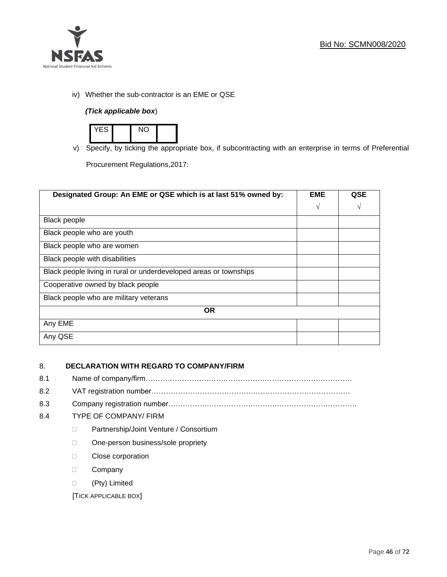

iv) Whether the sub-contractor is an EME or QSE

# *(Tick applicable box*)



v) Specify, by ticking the appropriate box, if subcontracting with an enterprise in terms of Preferential

Procurement Regulations,2017:

| Designated Group: An EME or QSE which is at last 51% owned by:    | <b>EME</b> | QSE |
|-------------------------------------------------------------------|------------|-----|
|                                                                   | $\sqrt{ }$ | V   |
| <b>Black people</b>                                               |            |     |
| Black people who are youth                                        |            |     |
| Black people who are women                                        |            |     |
| Black people with disabilities                                    |            |     |
| Black people living in rural or underdeveloped areas or townships |            |     |
| Cooperative owned by black people                                 |            |     |
| Black people who are military veterans                            |            |     |
| <b>OR</b>                                                         |            |     |
| Any EME                                                           |            |     |
| Any QSE                                                           |            |     |

# 8. **DECLARATION WITH REGARD TO COMPANY/FIRM**

- 8.1 Name of company/firm………………………………………………………………………….
- 8.2 VAT registration number…………………………………….…………………………………
- 8.3 Company registration number…………….……………………….…………………………….

# 8.4 TYPE OF COMPANY/ FIRM

- D Partnership/Joint Venture / Consortium
- □ One-person business/sole propriety
- **Close corporation**
- D Company
- (Pty) Limited

[TICK APPLICABLE BOX]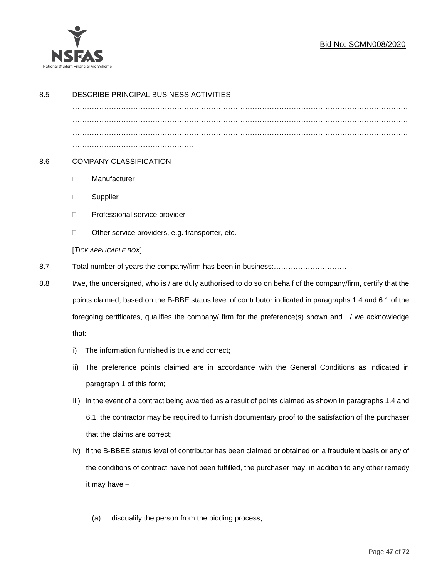

# Bid No: SCMN008/2020

| 8.5 | DESCRIBE PRINCIPAL BUSINESS ACTIVITIES                                                                        |  |  |  |
|-----|---------------------------------------------------------------------------------------------------------------|--|--|--|
|     |                                                                                                               |  |  |  |
|     |                                                                                                               |  |  |  |
|     |                                                                                                               |  |  |  |
| 8.6 | <b>COMPANY CLASSIFICATION</b>                                                                                 |  |  |  |
|     | Manufacturer<br>$\Box$                                                                                        |  |  |  |
|     | Supplier<br>$\Box$                                                                                            |  |  |  |
|     | Professional service provider<br>$\Box$                                                                       |  |  |  |
|     | Other service providers, e.g. transporter, etc.<br>$\Box$                                                     |  |  |  |
|     | [TICK APPLICABLE BOX]                                                                                         |  |  |  |
| 8.7 | Total number of years the company/firm has been in business:                                                  |  |  |  |
| 8.8 | I/we, the undersigned, who is / are duly authorised to do so on behalf of the company/firm, certify that the  |  |  |  |
|     | points claimed, based on the B-BBE status level of contributor indicated in paragraphs 1.4 and 6.1 of the     |  |  |  |
|     | foregoing certificates, qualifies the company/ firm for the preference(s) shown and I / we acknowledge        |  |  |  |
|     | that:                                                                                                         |  |  |  |
|     | The information furnished is true and correct;<br>i)                                                          |  |  |  |
|     | The preference points claimed are in accordance with the General Conditions as indicated in<br>ii)            |  |  |  |
|     | paragraph 1 of this form;                                                                                     |  |  |  |
|     | In the event of a contract being awarded as a result of points claimed as shown in paragraphs 1.4 and<br>iii) |  |  |  |
|     | 6.1, the contractor may be required to furnish documentary proof to the satisfaction of the purchaser         |  |  |  |
|     | that the claims are correct;                                                                                  |  |  |  |
|     | If the B-BBEE status level of contributor has been claimed or obtained on a fraudulent basis or any of<br>iv) |  |  |  |
|     | the conditions of contract have not been fulfilled, the purchaser may, in addition to any other remedy        |  |  |  |
|     | it may have $-$                                                                                               |  |  |  |
|     |                                                                                                               |  |  |  |
|     | disqualify the person from the bidding process;<br>(a)                                                        |  |  |  |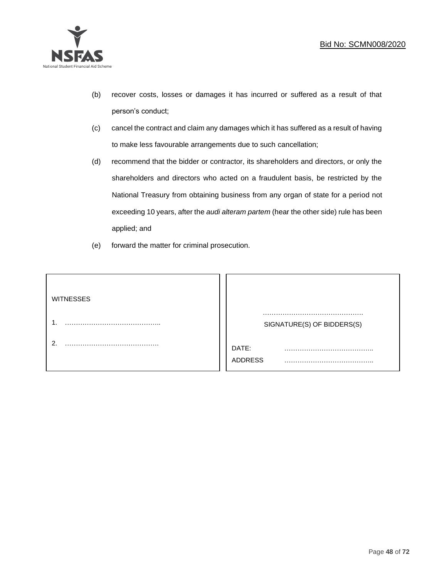

- (b) recover costs, losses or damages it has incurred or suffered as a result of that person's conduct;
- (c) cancel the contract and claim any damages which it has suffered as a result of having to make less favourable arrangements due to such cancellation;
- (d) recommend that the bidder or contractor, its shareholders and directors, or only the shareholders and directors who acted on a fraudulent basis, be restricted by the National Treasury from obtaining business from any organ of state for a period not exceeding 10 years, after the *audi alteram partem* (hear the other side) rule has been applied; and
- (e) forward the matter for criminal prosecution.

| <b>WITNESSES</b> |                              |
|------------------|------------------------------|
|                  | SIGNATURE(S) OF BIDDERS(S)   |
|                  | DATE:<br>.<br><b>ADDRESS</b> |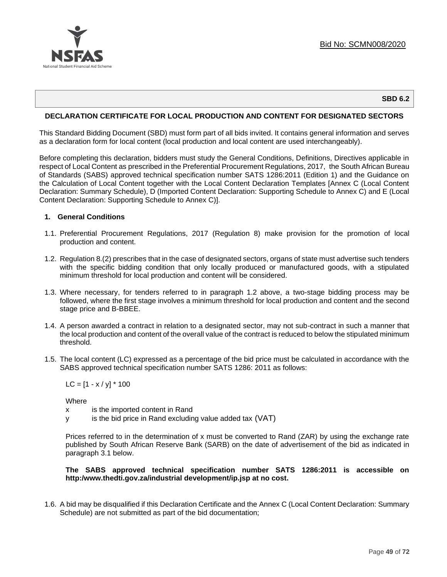

#### **SBD 6.2**

### **DECLARATION CERTIFICATE FOR LOCAL PRODUCTION AND CONTENT FOR DESIGNATED SECTORS**

This Standard Bidding Document (SBD) must form part of all bids invited. It contains general information and serves as a declaration form for local content (local production and local content are used interchangeably).

Before completing this declaration, bidders must study the General Conditions, Definitions, Directives applicable in respect of Local Content as prescribed in the Preferential Procurement Regulations, 2017, the South African Bureau of Standards (SABS) approved technical specification number SATS 1286:2011 (Edition 1) and the Guidance on the Calculation of Local Content together with the Local Content Declaration Templates [Annex C (Local Content Declaration: Summary Schedule), D (Imported Content Declaration: Supporting Schedule to Annex C) and E (Local Content Declaration: Supporting Schedule to Annex C)].

#### **1. General Conditions**

- 1.1. Preferential Procurement Regulations, 2017 (Regulation 8) make provision for the promotion of local production and content.
- 1.2. Regulation 8.(2) prescribes that in the case of designated sectors, organs of state must advertise such tenders with the specific bidding condition that only locally produced or manufactured goods, with a stipulated minimum threshold for local production and content will be considered.
- 1.3. Where necessary, for tenders referred to in paragraph 1.2 above, a two-stage bidding process may be followed, where the first stage involves a minimum threshold for local production and content and the second stage price and B-BBEE.
- 1.4. A person awarded a contract in relation to a designated sector, may not sub-contract in such a manner that the local production and content of the overall value of the contract is reduced to below the stipulated minimum threshold.
- 1.5. The local content (LC) expressed as a percentage of the bid price must be calculated in accordance with the SABS approved technical specification number SATS 1286: 2011 as follows:

 $LC = [1 - x / y] * 100$ 

**Where** 

- x is the imported content in Rand
- y is the bid price in Rand excluding value added tax (VAT)

Prices referred to in the determination of x must be converted to Rand (ZAR) by using the exchange rate published by South African Reserve Bank (SARB) on the date of advertisement of the bid as indicated in paragraph 3.1 below.

#### **The SABS approved technical specification number SATS 1286:2011 is accessible on http:/www.thedti.gov.za/industrial development/ip.jsp at no cost.**

1.6. A bid may be disqualified if this Declaration Certificate and the Annex C (Local Content Declaration: Summary Schedule) are not submitted as part of the bid documentation;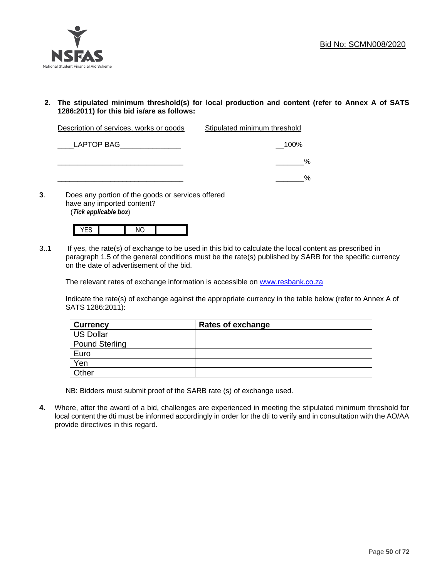

**2. The stipulated minimum threshold(s) for local production and content (refer to Annex A of SATS 1286:2011) for this bid is/are as follows:**

| Description of services, works or goods | Stipulated minimum threshold |  |
|-----------------------------------------|------------------------------|--|
|                                         |                              |  |

\_\_\_\_LAPTOP BAG\_\_\_\_\_\_\_\_\_\_\_\_\_\_\_ \_\_100% \_\_\_\_\_\_\_\_\_\_\_\_\_\_\_\_\_\_\_\_\_\_\_\_\_\_\_\_\_\_\_ \_\_\_\_\_\_\_% \_\_\_\_\_\_\_\_\_\_\_\_\_\_\_\_\_\_\_\_\_\_\_\_\_\_\_\_\_\_\_ \_\_\_\_\_\_\_%

**3**. Does any portion of the goods or services offered have any imported content? (*Tick applicable box*)



3..1 If yes, the rate(s) of exchange to be used in this bid to calculate the local content as prescribed in paragraph 1.5 of the general conditions must be the rate(s) published by SARB for the specific currency on the date of advertisement of the bid.

The relevant rates of exchange information is accessible on [www.resbank.co.za](http://www.resbank.co.za/)

Indicate the rate(s) of exchange against the appropriate currency in the table below (refer to Annex A of SATS 1286:2011):

| <b>Currency</b> | Rates of exchange |
|-----------------|-------------------|
| US Dollar       |                   |
| Pound Sterling  |                   |
| Euro            |                   |
| Yen             |                   |
| Other           |                   |

NB: Bidders must submit proof of the SARB rate (s) of exchange used.

**4.** Where, after the award of a bid, challenges are experienced in meeting the stipulated minimum threshold for local content the dti must be informed accordingly in order for the dti to verify and in consultation with the AO/AA provide directives in this regard.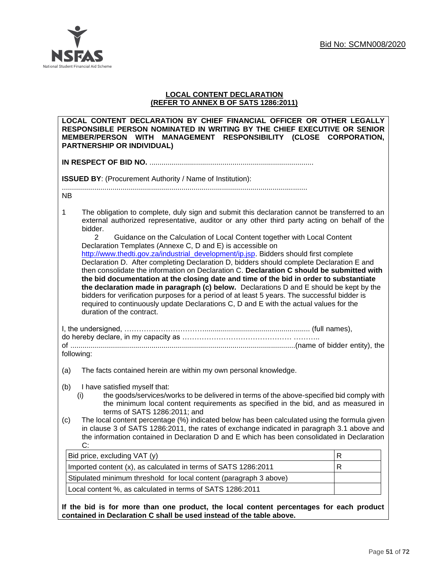

# **LOCAL CONTENT DECLARATION (REFER TO ANNEX B OF SATS 1286:2011)**

| LOCAL CONTENT DECLARATION BY CHIEF FINANCIAL OFFICER OR OTHER LEGALLY<br>RESPONSIBLE PERSON NOMINATED IN WRITING BY THE CHIEF EXECUTIVE OR SENIOR<br>MEMBER/PERSON WITH MANAGEMENT RESPONSIBILITY (CLOSE CORPORATION,<br><b>PARTNERSHIP OR INDIVIDUAL)</b>                                                                                                                                                                                                                                                                                                                                                                                                                                                                                                                                                                                                                                                                                                                                                                                                                        |   |  |  |  |
|-----------------------------------------------------------------------------------------------------------------------------------------------------------------------------------------------------------------------------------------------------------------------------------------------------------------------------------------------------------------------------------------------------------------------------------------------------------------------------------------------------------------------------------------------------------------------------------------------------------------------------------------------------------------------------------------------------------------------------------------------------------------------------------------------------------------------------------------------------------------------------------------------------------------------------------------------------------------------------------------------------------------------------------------------------------------------------------|---|--|--|--|
|                                                                                                                                                                                                                                                                                                                                                                                                                                                                                                                                                                                                                                                                                                                                                                                                                                                                                                                                                                                                                                                                                   |   |  |  |  |
| <b>ISSUED BY:</b> (Procurement Authority / Name of Institution):                                                                                                                                                                                                                                                                                                                                                                                                                                                                                                                                                                                                                                                                                                                                                                                                                                                                                                                                                                                                                  |   |  |  |  |
| NB.                                                                                                                                                                                                                                                                                                                                                                                                                                                                                                                                                                                                                                                                                                                                                                                                                                                                                                                                                                                                                                                                               |   |  |  |  |
| $\mathbf 1$<br>The obligation to complete, duly sign and submit this declaration cannot be transferred to an<br>external authorized representative, auditor or any other third party acting on behalf of the<br>bidder.<br>$\overline{2}$<br>Guidance on the Calculation of Local Content together with Local Content<br>Declaration Templates (Annexe C, D and E) is accessible on<br>http://www.thedti.gov.za/industrial_development/ip.jsp. Bidders should first complete<br>Declaration D. After completing Declaration D, bidders should complete Declaration E and<br>then consolidate the information on Declaration C. Declaration C should be submitted with<br>the bid documentation at the closing date and time of the bid in order to substantiate<br>the declaration made in paragraph (c) below. Declarations D and E should be kept by the<br>bidders for verification purposes for a period of at least 5 years. The successful bidder is<br>required to continuously update Declarations C, D and E with the actual values for the<br>duration of the contract. |   |  |  |  |
| following:                                                                                                                                                                                                                                                                                                                                                                                                                                                                                                                                                                                                                                                                                                                                                                                                                                                                                                                                                                                                                                                                        |   |  |  |  |
| The facts contained herein are within my own personal knowledge.<br>(a)                                                                                                                                                                                                                                                                                                                                                                                                                                                                                                                                                                                                                                                                                                                                                                                                                                                                                                                                                                                                           |   |  |  |  |
| (b)<br>I have satisfied myself that:<br>the goods/services/works to be delivered in terms of the above-specified bid comply with<br>(i)<br>the minimum local content requirements as specified in the bid, and as measured in<br>terms of SATS 1286:2011; and<br>The local content percentage (%) indicated below has been calculated using the formula given<br>(c)<br>in clause 3 of SATS 1286:2011, the rates of exchange indicated in paragraph 3.1 above and<br>the information contained in Declaration D and E which has been consolidated in Declaration<br>C:                                                                                                                                                                                                                                                                                                                                                                                                                                                                                                            |   |  |  |  |
| Bid price, excluding VAT (y)                                                                                                                                                                                                                                                                                                                                                                                                                                                                                                                                                                                                                                                                                                                                                                                                                                                                                                                                                                                                                                                      | R |  |  |  |
| Imported content (x), as calculated in terms of SATS 1286:2011                                                                                                                                                                                                                                                                                                                                                                                                                                                                                                                                                                                                                                                                                                                                                                                                                                                                                                                                                                                                                    | R |  |  |  |
| Stipulated minimum threshold for local content (paragraph 3 above)                                                                                                                                                                                                                                                                                                                                                                                                                                                                                                                                                                                                                                                                                                                                                                                                                                                                                                                                                                                                                |   |  |  |  |
| Local content %, as calculated in terms of SATS 1286:2011                                                                                                                                                                                                                                                                                                                                                                                                                                                                                                                                                                                                                                                                                                                                                                                                                                                                                                                                                                                                                         |   |  |  |  |
| If the bid is for more than one product, the local content percentages for each product<br>contained in Declaration C shall be used instead of the table above.                                                                                                                                                                                                                                                                                                                                                                                                                                                                                                                                                                                                                                                                                                                                                                                                                                                                                                                   |   |  |  |  |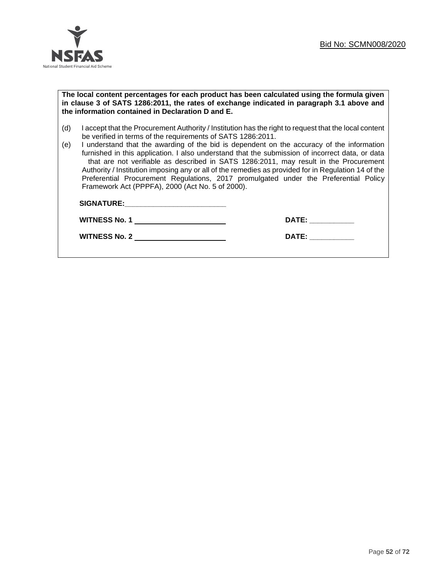

#### **The local content percentages for each product has been calculated using the formula given in clause 3 of SATS 1286:2011, the rates of exchange indicated in paragraph 3.1 above and the information contained in Declaration D and E.**

- (d) I accept that the Procurement Authority / Institution has the right to request that the local content be verified in terms of the requirements of SATS 1286:2011.
- (e) I understand that the awarding of the bid is dependent on the accuracy of the information furnished in this application. I also understand that the submission of incorrect data, or data that are not verifiable as described in SATS 1286:2011, may result in the Procurement Authority / Institution imposing any or all of the remedies as provided for in Regulation 14 of the Preferential Procurement Regulations, 2017 promulgated under the Preferential Policy Framework Act (PPPFA), 2000 (Act No. 5 of 2000).

| <b>SIGNATURE:</b>    |              |
|----------------------|--------------|
| <b>WITNESS No. 1</b> | <b>DATE:</b> |
| <b>WITNESS No. 2</b> | <b>DATE:</b> |
|                      |              |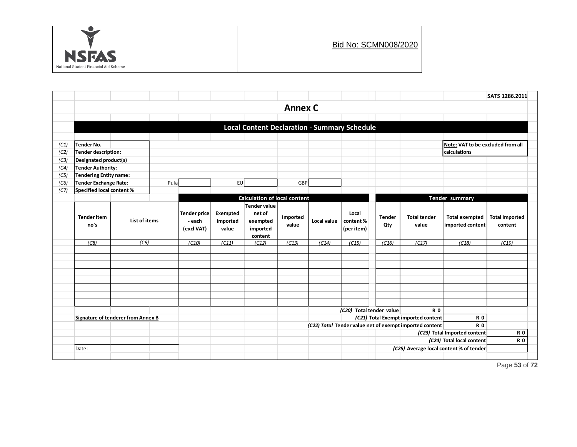

|      |                                             |      |        |                     |           |                                                     |             |          |                                     |                     |                                                         |                                                           | SATS 1286.2011 |
|------|---------------------------------------------|------|--------|---------------------|-----------|-----------------------------------------------------|-------------|----------|-------------------------------------|---------------------|---------------------------------------------------------|-----------------------------------------------------------|----------------|
|      | <b>Annex C</b>                              |      |        |                     |           |                                                     |             |          |                                     |                     |                                                         |                                                           |                |
|      |                                             |      |        |                     |           |                                                     |             |          |                                     |                     |                                                         |                                                           |                |
|      |                                             |      |        |                     |           | <b>Local Content Declaration - Summary Schedule</b> |             |          |                                     |                     |                                                         |                                                           |                |
|      |                                             |      |        |                     |           |                                                     |             |          |                                     |                     |                                                         |                                                           |                |
| (C1) | Tender No.                                  |      |        |                     |           |                                                     |             |          |                                     |                     |                                                         | Note: VAT to be excluded from all                         |                |
| (C2) | Tender description:                         |      |        |                     |           |                                                     |             |          |                                     |                     | calculations                                            |                                                           |                |
| (C3) | Designated product(s)                       |      |        |                     |           |                                                     |             |          |                                     |                     |                                                         |                                                           |                |
| (C4) | <b>Tender Authority:</b>                    |      |        |                     |           |                                                     |             |          |                                     |                     |                                                         |                                                           |                |
| (C5) | Tendering Entity name:                      |      |        |                     |           |                                                     |             |          |                                     |                     |                                                         |                                                           |                |
| (C6) | Tender Exchange Rate:                       |      | Pula   |                     | <b>EU</b> |                                                     | GBP         |          |                                     |                     |                                                         |                                                           |                |
| (C7) | Specified local content %                   |      |        |                     |           |                                                     |             |          |                                     |                     |                                                         |                                                           |                |
|      |                                             |      |        |                     |           | <b>Calculation of local content</b>                 |             |          |                                     |                     |                                                         | Tender summary                                            |                |
|      |                                             |      |        | <b>Tender price</b> | Exempted  | Tender value<br>net of                              |             |          | Local                               |                     |                                                         |                                                           |                |
|      | <b>Tender item</b><br>List of items<br>no's |      | - each | imported            | exempted  | Imported                                            | Local value | content% | <b>Tender</b>                       | <b>Total tender</b> | <b>Total exempted</b>                                   | <b>Total Imported</b>                                     |                |
|      |                                             |      |        | (excl VAT)          | value     | imported                                            | value       |          | (per item)                          | Qty                 | value                                                   | imported content                                          | content        |
|      |                                             |      |        |                     |           | content                                             |             |          |                                     |                     |                                                         |                                                           |                |
|      | (C8)                                        | (C9) |        | (C10)               | (C11)     | (C12)                                               | (C13)       | (C14)    | (C15)                               | (C16)               | (C17)                                                   | (C18)                                                     | (C19)          |
|      |                                             |      |        |                     |           |                                                     |             |          |                                     |                     |                                                         |                                                           |                |
|      |                                             |      |        |                     |           |                                                     |             |          |                                     |                     |                                                         |                                                           |                |
|      |                                             |      |        |                     |           |                                                     |             |          |                                     |                     |                                                         |                                                           |                |
|      |                                             |      |        |                     |           |                                                     |             |          |                                     |                     |                                                         |                                                           |                |
|      |                                             |      |        |                     |           |                                                     |             |          |                                     |                     |                                                         |                                                           |                |
|      |                                             |      |        |                     |           |                                                     |             |          |                                     |                     |                                                         |                                                           |                |
|      |                                             |      |        |                     |           |                                                     |             |          |                                     |                     |                                                         |                                                           |                |
|      |                                             |      |        |                     |           |                                                     |             |          | (C20) Total tender value            |                     | <b>R0</b>                                               |                                                           |                |
|      | Signature of tenderer from Annex B          |      |        |                     |           |                                                     |             |          | (C21) Total Exempt imported content |                     |                                                         | <b>R0</b>                                                 |                |
|      |                                             |      |        |                     |           |                                                     |             |          |                                     |                     | (C22) Total Tender value net of exempt imported content | <b>R0</b>                                                 | <b>R0</b>      |
|      |                                             |      |        |                     |           |                                                     |             |          |                                     |                     |                                                         | (C23) Total Imported content<br>(C24) Total local content | <b>R0</b>      |
|      | Date:                                       |      |        |                     |           |                                                     |             |          |                                     |                     |                                                         | (C25) Average local content % of tender                   |                |
|      |                                             |      |        |                     |           |                                                     |             |          |                                     |                     |                                                         |                                                           |                |

Page **53** of **72**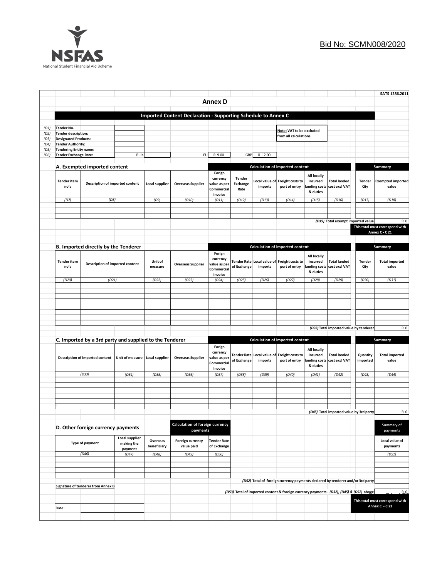

|              |                                                                                                  |                                           |                                             |                          |                                                                      |                                                             |                                                                                          |                                                                                |                                                              |                                                   |                                                     |                                   | SATS 1286.2011                                    |
|--------------|--------------------------------------------------------------------------------------------------|-------------------------------------------|---------------------------------------------|--------------------------|----------------------------------------------------------------------|-------------------------------------------------------------|------------------------------------------------------------------------------------------|--------------------------------------------------------------------------------|--------------------------------------------------------------|---------------------------------------------------|-----------------------------------------------------|-----------------------------------|---------------------------------------------------|
|              | <b>Annex D</b>                                                                                   |                                           |                                             |                          |                                                                      |                                                             |                                                                                          |                                                                                |                                                              |                                                   |                                                     |                                   |                                                   |
|              |                                                                                                  |                                           |                                             |                          |                                                                      |                                                             |                                                                                          |                                                                                |                                                              |                                                   |                                                     |                                   |                                                   |
|              |                                                                                                  |                                           |                                             |                          | <b>Imported Content Declaration - Supporting Schedule to Annex C</b> |                                                             |                                                                                          |                                                                                |                                                              |                                                   |                                                     |                                   |                                                   |
| (D1)         | Tender No.                                                                                       |                                           |                                             |                          |                                                                      |                                                             |                                                                                          |                                                                                | Note: VAT to be excluded                                     |                                                   |                                                     |                                   |                                                   |
| (D2)<br>(D3) | <b>Tender description:</b><br><b>Designated Products:</b>                                        |                                           |                                             |                          |                                                                      |                                                             |                                                                                          |                                                                                | from all calculations                                        |                                                   |                                                     |                                   |                                                   |
| (D4)         | <b>Tender Authority:</b>                                                                         |                                           |                                             |                          |                                                                      |                                                             |                                                                                          |                                                                                |                                                              |                                                   |                                                     |                                   |                                                   |
| (D5)<br>(D6) | <b>Tendering Entity name:</b><br><b>Tender Exchange Rate:</b>                                    |                                           | Pula                                        |                          | EU                                                                   | R 9.00                                                      | <b>GBP</b>                                                                               | R 12.00                                                                        |                                                              |                                                   |                                                     |                                   |                                                   |
|              |                                                                                                  |                                           |                                             |                          |                                                                      |                                                             |                                                                                          |                                                                                |                                                              |                                                   |                                                     |                                   |                                                   |
|              | A. Exempted imported content                                                                     |                                           |                                             |                          |                                                                      |                                                             |                                                                                          |                                                                                | Calculation of imported content                              |                                                   |                                                     |                                   | Summary                                           |
|              | <b>Tender item</b><br>Description of imported content<br>no's                                    |                                           | Local supplier                              | <b>Overseas Supplier</b> | Forign<br>currency<br>value as per<br>Commercial<br>Invoice          | <b>Tender</b><br>Exchange<br>Rate                           | imports                                                                                  | Local value of Freight costs to<br>port of entry                               | All locally<br>incurred<br>anding costs<br>& duties          | <b>Total landed</b><br>cost excl VAT              | Tender<br>Qty                                       | <b>Exempted imported</b><br>value |                                                   |
|              | (D7)                                                                                             | (D8)                                      |                                             | (D9)                     | (D10)                                                                | (D11)                                                       | (D12)                                                                                    | (D13)                                                                          | (D14)                                                        | (D15)                                             | (D16)                                               | (D17)                             | (D18)                                             |
|              |                                                                                                  |                                           |                                             |                          |                                                                      |                                                             |                                                                                          |                                                                                |                                                              |                                                   |                                                     |                                   |                                                   |
|              |                                                                                                  |                                           |                                             |                          |                                                                      |                                                             |                                                                                          |                                                                                |                                                              |                                                   |                                                     |                                   |                                                   |
|              |                                                                                                  |                                           |                                             |                          |                                                                      |                                                             |                                                                                          |                                                                                |                                                              |                                                   | (D19) Total exempt imported value                   |                                   | R 0<br>This total must correspond with            |
|              |                                                                                                  |                                           |                                             |                          |                                                                      |                                                             |                                                                                          |                                                                                |                                                              |                                                   |                                                     |                                   | Annex C - C 21                                    |
|              |                                                                                                  |                                           |                                             |                          |                                                                      |                                                             |                                                                                          |                                                                                |                                                              |                                                   |                                                     |                                   |                                                   |
|              |                                                                                                  | B. Imported directly by the Tenderer      |                                             |                          |                                                                      |                                                             |                                                                                          |                                                                                | Calculation of imported content                              |                                                   |                                                     |                                   | Summary                                           |
|              | <b>Tender item</b><br>Description of imported content<br>no's<br>(D21)<br>(D20)                  |                                           | Unit of<br>measure                          | <b>Overseas Supplier</b> | Forign<br>currency<br>value as peı<br>Commercial<br>Invoice          | Tender Rate<br>of Exchange                                  | Local value of<br>imports                                                                | Freight costs to<br>port of entry                                              | All locally<br>incurred<br>& duties                          | <b>Total landed</b><br>anding costs cost excl VAT | <b>Tender</b><br>Qty                                | <b>Total imported</b><br>value    |                                                   |
|              |                                                                                                  |                                           |                                             | (D22)                    | (D23)                                                                | (D24)                                                       | (D25)                                                                                    | (D26)                                                                          | (D27)                                                        | (D28)                                             | (D29)                                               | (D30)                             | (D31)                                             |
|              |                                                                                                  |                                           |                                             |                          |                                                                      |                                                             |                                                                                          |                                                                                |                                                              |                                                   |                                                     |                                   |                                                   |
|              |                                                                                                  |                                           |                                             |                          |                                                                      |                                                             |                                                                                          |                                                                                |                                                              |                                                   |                                                     |                                   |                                                   |
|              |                                                                                                  |                                           |                                             |                          |                                                                      |                                                             |                                                                                          |                                                                                |                                                              |                                                   |                                                     |                                   |                                                   |
|              |                                                                                                  |                                           |                                             |                          |                                                                      |                                                             |                                                                                          |                                                                                |                                                              |                                                   |                                                     |                                   |                                                   |
|              |                                                                                                  |                                           |                                             |                          |                                                                      |                                                             |                                                                                          |                                                                                |                                                              |                                                   |                                                     |                                   |                                                   |
|              |                                                                                                  |                                           |                                             |                          |                                                                      |                                                             |                                                                                          |                                                                                |                                                              |                                                   | (D32) Total imported value by tenderer              |                                   | <b>R0</b>                                         |
|              | C. Imported by a 3rd party and supplied to the Tenderer                                          |                                           |                                             |                          |                                                                      |                                                             |                                                                                          |                                                                                | Calculation of imported content                              |                                                   |                                                     |                                   | Summary                                           |
|              | Description of imported content                                                                  |                                           | Unit of measure                             | Local supplier           | <b>Overseas Supplier</b>                                             | Forign<br>currency<br>value as pei<br>Commercial<br>Invoice | of Exchange                                                                              | imports                                                                        | Tender Rate Local value of Freight costs to<br>port of entry | All locally<br>incurred<br>& duties               | <b>Total landed</b><br>anding costs   cost excl VAT | Quantity<br>imported              | <b>Total imported</b><br>value                    |
|              |                                                                                                  | (D33)                                     | (D34)                                       | (D35)                    | (D36)                                                                | (D37)                                                       | (D38)                                                                                    | (D39)                                                                          | (D40)                                                        | (D41)                                             | (D42)                                               | (D43)                             | (D44)                                             |
|              |                                                                                                  |                                           |                                             |                          |                                                                      |                                                             |                                                                                          |                                                                                |                                                              |                                                   |                                                     |                                   |                                                   |
|              |                                                                                                  |                                           |                                             |                          |                                                                      |                                                             |                                                                                          |                                                                                |                                                              |                                                   |                                                     |                                   |                                                   |
|              |                                                                                                  |                                           |                                             |                          |                                                                      |                                                             |                                                                                          |                                                                                |                                                              |                                                   |                                                     |                                   |                                                   |
|              |                                                                                                  |                                           |                                             |                          |                                                                      |                                                             |                                                                                          |                                                                                |                                                              |                                                   |                                                     |                                   |                                                   |
|              |                                                                                                  |                                           |                                             |                          |                                                                      |                                                             |                                                                                          |                                                                                |                                                              |                                                   | (D45) Total imported value by 3rd party             |                                   | R <sub>0</sub>                                    |
|              | D. Other foreign currency payments<br>Local supplier<br>Type of payment<br>making the<br>payment |                                           | Calculation of foreign currency<br>payments |                          |                                                                      |                                                             |                                                                                          |                                                                                |                                                              |                                                   |                                                     | Summary of<br>payments            |                                                   |
|              |                                                                                                  |                                           |                                             | Overseas<br>beneficiary  | Foreign currency<br>value paid                                       | <b>Tender Rate</b><br>of Exchange                           |                                                                                          |                                                                                |                                                              |                                                   |                                                     |                                   | Local value of<br>payments                        |
|              |                                                                                                  | (D46)                                     | (D47)                                       | (D48)                    | (D49)                                                                | (D50)                                                       |                                                                                          |                                                                                |                                                              |                                                   |                                                     |                                   | (D51)                                             |
|              |                                                                                                  |                                           |                                             |                          |                                                                      |                                                             |                                                                                          |                                                                                |                                                              |                                                   |                                                     |                                   |                                                   |
|              |                                                                                                  |                                           |                                             |                          |                                                                      |                                                             |                                                                                          |                                                                                |                                                              |                                                   |                                                     |                                   |                                                   |
|              |                                                                                                  |                                           |                                             |                          |                                                                      |                                                             |                                                                                          | (D52) Total of foreign currency payments declared by tenderer and/or 3rd party |                                                              |                                                   |                                                     |                                   |                                                   |
|              |                                                                                                  | <b>Signature of tenderer from Annex B</b> |                                             |                          |                                                                      |                                                             | (D53) Total of imported content & foreign currency payments - (D32), (D45) & (D52) above |                                                                                |                                                              |                                                   |                                                     |                                   |                                                   |
|              |                                                                                                  |                                           |                                             |                          |                                                                      |                                                             |                                                                                          |                                                                                |                                                              |                                                   |                                                     |                                   | R <sub>0</sub>                                    |
|              | Date:                                                                                            |                                           |                                             |                          |                                                                      |                                                             |                                                                                          |                                                                                |                                                              |                                                   |                                                     |                                   | This total must correspond with<br>Annex C - C 23 |
|              |                                                                                                  |                                           |                                             |                          |                                                                      |                                                             |                                                                                          |                                                                                |                                                              |                                                   |                                                     |                                   |                                                   |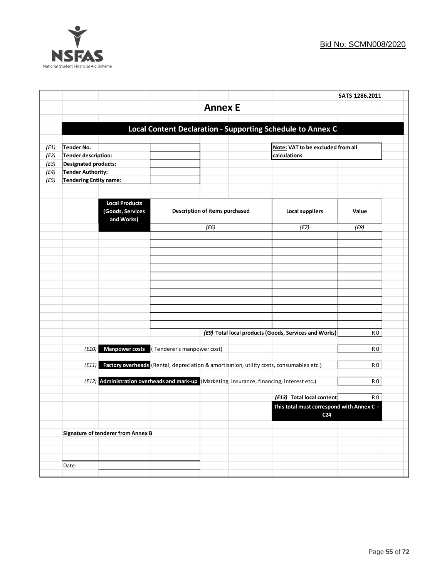

|      |                        |                                                                                             |                            |                                |  |                                                                                          | SATS 1286.2011 |  |
|------|------------------------|---------------------------------------------------------------------------------------------|----------------------------|--------------------------------|--|------------------------------------------------------------------------------------------|----------------|--|
|      |                        |                                                                                             |                            | <b>Annex E</b>                 |  |                                                                                          |                |  |
|      |                        |                                                                                             |                            |                                |  |                                                                                          |                |  |
|      |                        |                                                                                             |                            |                                |  | Local Content Declaration - Supporting Schedule to Annex C                               |                |  |
|      |                        |                                                                                             |                            |                                |  |                                                                                          |                |  |
| (E1) | <b>Tender No.</b>      |                                                                                             |                            |                                |  | Note: VAT to be excluded from all                                                        |                |  |
| (E2) | Tender description:    |                                                                                             |                            |                                |  | calculations                                                                             |                |  |
| (E3) | Designated products:   |                                                                                             |                            |                                |  |                                                                                          |                |  |
| (E4) | Tender Authority:      |                                                                                             |                            |                                |  |                                                                                          |                |  |
| (E5) | Tendering Entity name: |                                                                                             |                            |                                |  |                                                                                          |                |  |
|      |                        |                                                                                             |                            |                                |  |                                                                                          |                |  |
|      |                        | <b>Local Products</b><br>(Goods, Services<br>and Works)                                     |                            | Description of items purchased |  | <b>Local suppliers</b>                                                                   | Value          |  |
|      |                        |                                                                                             |                            | (E6)                           |  | (E7)                                                                                     | (E8)           |  |
|      |                        |                                                                                             |                            |                                |  |                                                                                          |                |  |
|      |                        |                                                                                             |                            |                                |  |                                                                                          |                |  |
|      |                        |                                                                                             |                            |                                |  |                                                                                          |                |  |
|      |                        |                                                                                             |                            |                                |  |                                                                                          |                |  |
|      |                        |                                                                                             |                            |                                |  |                                                                                          |                |  |
|      |                        |                                                                                             |                            |                                |  |                                                                                          |                |  |
|      |                        |                                                                                             |                            |                                |  |                                                                                          |                |  |
|      |                        |                                                                                             |                            |                                |  |                                                                                          |                |  |
|      |                        |                                                                                             |                            |                                |  |                                                                                          |                |  |
|      |                        |                                                                                             |                            |                                |  |                                                                                          |                |  |
|      |                        |                                                                                             |                            |                                |  | (E9) Total local products (Goods, Services and Works)                                    | R O            |  |
|      |                        |                                                                                             |                            |                                |  |                                                                                          |                |  |
|      | (E10)                  | <b>Manpower costs</b>                                                                       | (Tenderer's manpower cost) |                                |  |                                                                                          | R <sub>0</sub> |  |
|      | (E11)                  |                                                                                             |                            |                                |  | Factory overheads (Rental, depreciation & amortisation, utility costs, consumables etc.) | R0             |  |
|      |                        |                                                                                             |                            |                                |  |                                                                                          |                |  |
|      |                        | (E12) Administration overheads and mark-up (Marketing, insurance, financing, interest etc.) |                            |                                |  |                                                                                          | R O            |  |
|      |                        |                                                                                             |                            |                                |  |                                                                                          |                |  |
|      |                        |                                                                                             |                            |                                |  | (E13) Total local content                                                                | R <sub>0</sub> |  |
|      |                        |                                                                                             |                            |                                |  | This total must correspond with Annex C -<br>C <sub>24</sub>                             |                |  |
|      |                        |                                                                                             |                            |                                |  |                                                                                          |                |  |
|      |                        | Signature of tenderer from Annex B                                                          |                            |                                |  |                                                                                          |                |  |
|      |                        |                                                                                             |                            |                                |  |                                                                                          |                |  |
|      |                        |                                                                                             |                            |                                |  |                                                                                          |                |  |
|      | Date:                  |                                                                                             |                            |                                |  |                                                                                          |                |  |
|      |                        |                                                                                             |                            |                                |  |                                                                                          |                |  |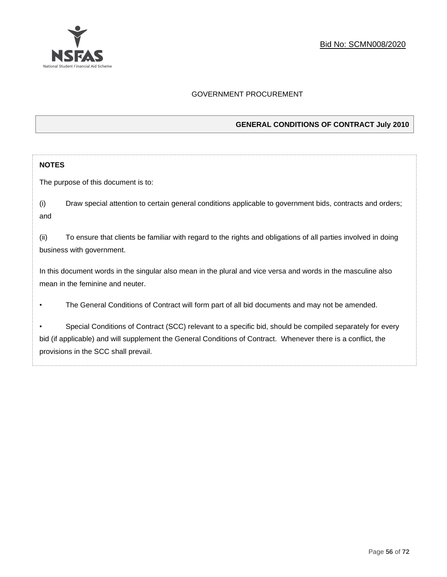

# GOVERNMENT PROCUREMENT

# **GENERAL CONDITIONS OF CONTRACT July 2010**

### **NOTES**

The purpose of this document is to:

(i) Draw special attention to certain general conditions applicable to government bids, contracts and orders; and

(ii) To ensure that clients be familiar with regard to the rights and obligations of all parties involved in doing business with government.

In this document words in the singular also mean in the plural and vice versa and words in the masculine also mean in the feminine and neuter.

• The General Conditions of Contract will form part of all bid documents and may not be amended.

Special Conditions of Contract (SCC) relevant to a specific bid, should be compiled separately for every bid (if applicable) and will supplement the General Conditions of Contract. Whenever there is a conflict, the provisions in the SCC shall prevail.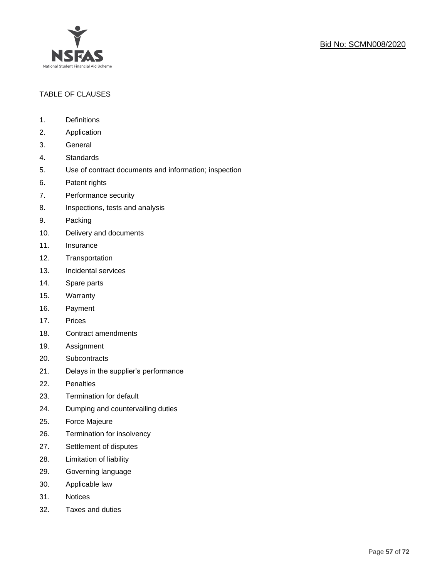

# TABLE OF CLAUSES

- 1. Definitions
- 2. Application
- 3. General
- 4. Standards
- 5. Use of contract documents and information; inspection
- 6. Patent rights
- 7. Performance security
- 8. Inspections, tests and analysis
- 9. Packing
- 10. Delivery and documents
- 11. Insurance
- 12. Transportation
- 13. Incidental services
- 14. Spare parts
- 15. Warranty
- 16. Payment
- 17. Prices
- 18. Contract amendments
- 19. Assignment
- 20. Subcontracts
- 21. Delays in the supplier's performance
- 22. Penalties
- 23. Termination for default
- 24. Dumping and countervailing duties
- 25. Force Majeure
- 26. Termination for insolvency
- 27. Settlement of disputes
- 28. Limitation of liability
- 29. Governing language
- 30. Applicable law
- 31. Notices
- 32. Taxes and duties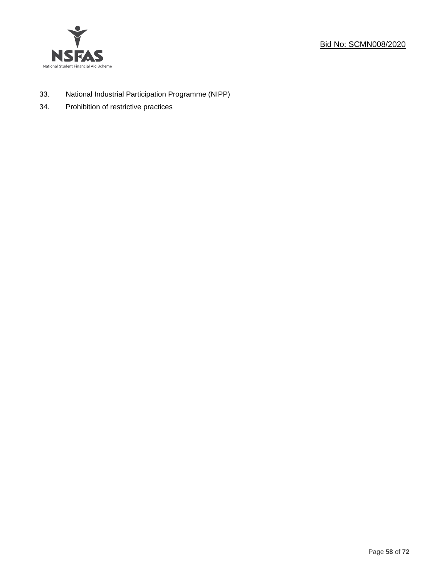



- 33. National Industrial Participation Programme (NIPP)
- 34. Prohibition of restrictive practices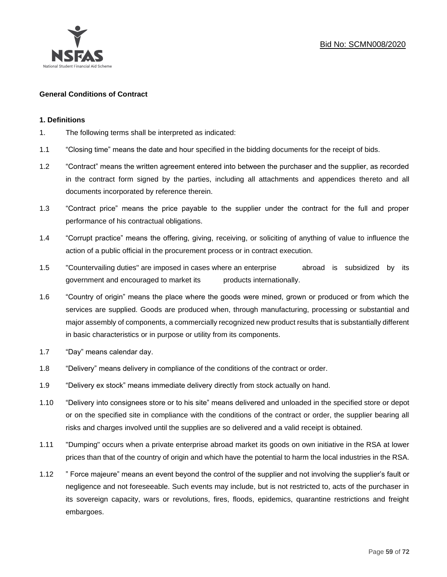

# **General Conditions of Contract**

#### **1. Definitions**

- 1. The following terms shall be interpreted as indicated:
- 1.1 "Closing time" means the date and hour specified in the bidding documents for the receipt of bids.
- 1.2 "Contract" means the written agreement entered into between the purchaser and the supplier, as recorded in the contract form signed by the parties, including all attachments and appendices thereto and all documents incorporated by reference therein.
- 1.3 "Contract price" means the price payable to the supplier under the contract for the full and proper performance of his contractual obligations.
- 1.4 "Corrupt practice" means the offering, giving, receiving, or soliciting of anything of value to influence the action of a public official in the procurement process or in contract execution.
- 1.5 "Countervailing duties" are imposed in cases where an enterprise abroad is subsidized by its government and encouraged to market its products internationally.
- 1.6 "Country of origin" means the place where the goods were mined, grown or produced or from which the services are supplied. Goods are produced when, through manufacturing, processing or substantial and major assembly of components, a commercially recognized new product results that is substantially different in basic characteristics or in purpose or utility from its components.
- 1.7 "Day" means calendar day.
- 1.8 "Delivery" means delivery in compliance of the conditions of the contract or order.
- 1.9 "Delivery ex stock" means immediate delivery directly from stock actually on hand.
- 1.10 "Delivery into consignees store or to his site" means delivered and unloaded in the specified store or depot or on the specified site in compliance with the conditions of the contract or order, the supplier bearing all risks and charges involved until the supplies are so delivered and a valid receipt is obtained.
- 1.11 "Dumping" occurs when a private enterprise abroad market its goods on own initiative in the RSA at lower prices than that of the country of origin and which have the potential to harm the local industries in the RSA.
- 1.12 " Force majeure" means an event beyond the control of the supplier and not involving the supplier's fault or negligence and not foreseeable. Such events may include, but is not restricted to, acts of the purchaser in its sovereign capacity, wars or revolutions, fires, floods, epidemics, quarantine restrictions and freight embargoes.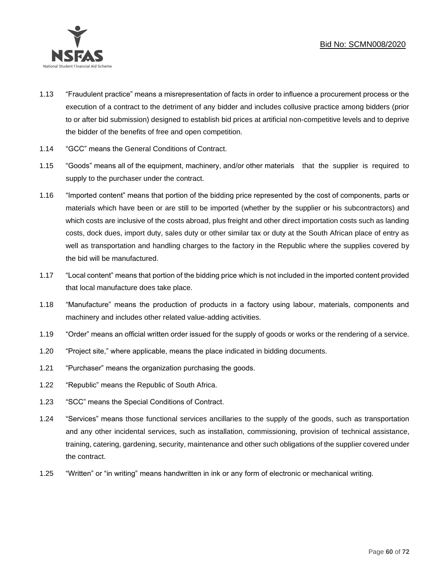

- 1.13 "Fraudulent practice" means a misrepresentation of facts in order to influence a procurement process or the execution of a contract to the detriment of any bidder and includes collusive practice among bidders (prior to or after bid submission) designed to establish bid prices at artificial non-competitive levels and to deprive the bidder of the benefits of free and open competition.
- 1.14 "GCC" means the General Conditions of Contract.
- 1.15 "Goods" means all of the equipment, machinery, and/or other materials that the supplier is required to supply to the purchaser under the contract.
- 1.16 "Imported content" means that portion of the bidding price represented by the cost of components, parts or materials which have been or are still to be imported (whether by the supplier or his subcontractors) and which costs are inclusive of the costs abroad, plus freight and other direct importation costs such as landing costs, dock dues, import duty, sales duty or other similar tax or duty at the South African place of entry as well as transportation and handling charges to the factory in the Republic where the supplies covered by the bid will be manufactured.
- 1.17 "Local content" means that portion of the bidding price which is not included in the imported content provided that local manufacture does take place.
- 1.18 "Manufacture" means the production of products in a factory using labour, materials, components and machinery and includes other related value-adding activities.
- 1.19 "Order" means an official written order issued for the supply of goods or works or the rendering of a service.
- 1.20 "Project site," where applicable, means the place indicated in bidding documents.
- 1.21 "Purchaser" means the organization purchasing the goods.
- 1.22 "Republic" means the Republic of South Africa.
- 1.23 "SCC" means the Special Conditions of Contract.
- 1.24 "Services" means those functional services ancillaries to the supply of the goods, such as transportation and any other incidental services, such as installation, commissioning, provision of technical assistance, training, catering, gardening, security, maintenance and other such obligations of the supplier covered under the contract.
- 1.25 "Written" or "in writing" means handwritten in ink or any form of electronic or mechanical writing.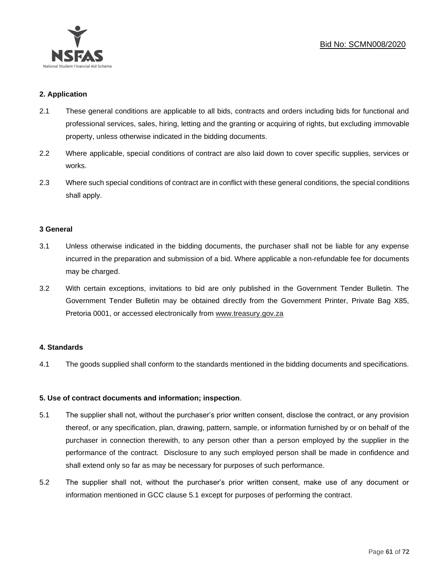

# **2. Application**

- 2.1 These general conditions are applicable to all bids, contracts and orders including bids for functional and professional services, sales, hiring, letting and the granting or acquiring of rights, but excluding immovable property, unless otherwise indicated in the bidding documents.
- 2.2 Where applicable, special conditions of contract are also laid down to cover specific supplies, services or works.
- 2.3 Where such special conditions of contract are in conflict with these general conditions, the special conditions shall apply.

#### **3 General**

- 3.1 Unless otherwise indicated in the bidding documents, the purchaser shall not be liable for any expense incurred in the preparation and submission of a bid. Where applicable a non-refundable fee for documents may be charged.
- 3.2 With certain exceptions, invitations to bid are only published in the Government Tender Bulletin. The Government Tender Bulletin may be obtained directly from the Government Printer, Private Bag X85, Pretoria 0001, or accessed electronically from [www.treasury.gov.za](http://www.treasury.gov.za/)

#### **4. Standards**

4.1 The goods supplied shall conform to the standards mentioned in the bidding documents and specifications.

# **5. Use of contract documents and information; inspection**.

- 5.1 The supplier shall not, without the purchaser's prior written consent, disclose the contract, or any provision thereof, or any specification, plan, drawing, pattern, sample, or information furnished by or on behalf of the purchaser in connection therewith, to any person other than a person employed by the supplier in the performance of the contract. Disclosure to any such employed person shall be made in confidence and shall extend only so far as may be necessary for purposes of such performance.
- 5.2 The supplier shall not, without the purchaser's prior written consent, make use of any document or information mentioned in GCC clause 5.1 except for purposes of performing the contract.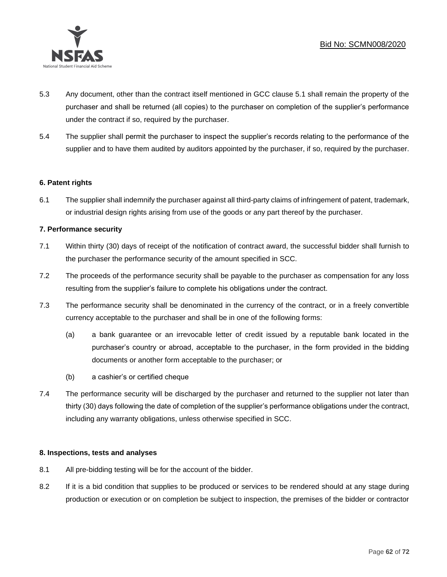

- 5.3 Any document, other than the contract itself mentioned in GCC clause 5.1 shall remain the property of the purchaser and shall be returned (all copies) to the purchaser on completion of the supplier's performance under the contract if so, required by the purchaser.
- 5.4 The supplier shall permit the purchaser to inspect the supplier's records relating to the performance of the supplier and to have them audited by auditors appointed by the purchaser, if so, required by the purchaser.

# **6. Patent rights**

6.1 The supplier shall indemnify the purchaser against all third-party claims of infringement of patent, trademark, or industrial design rights arising from use of the goods or any part thereof by the purchaser.

# **7. Performance security**

- 7.1 Within thirty (30) days of receipt of the notification of contract award, the successful bidder shall furnish to the purchaser the performance security of the amount specified in SCC.
- 7.2 The proceeds of the performance security shall be payable to the purchaser as compensation for any loss resulting from the supplier's failure to complete his obligations under the contract.
- 7.3 The performance security shall be denominated in the currency of the contract, or in a freely convertible currency acceptable to the purchaser and shall be in one of the following forms:
	- (a) a bank guarantee or an irrevocable letter of credit issued by a reputable bank located in the purchaser's country or abroad, acceptable to the purchaser, in the form provided in the bidding documents or another form acceptable to the purchaser; or
	- (b) a cashier's or certified cheque
- 7.4 The performance security will be discharged by the purchaser and returned to the supplier not later than thirty (30) days following the date of completion of the supplier's performance obligations under the contract, including any warranty obligations, unless otherwise specified in SCC.

# **8. Inspections, tests and analyses**

- 8.1 All pre-bidding testing will be for the account of the bidder.
- 8.2 If it is a bid condition that supplies to be produced or services to be rendered should at any stage during production or execution or on completion be subject to inspection, the premises of the bidder or contractor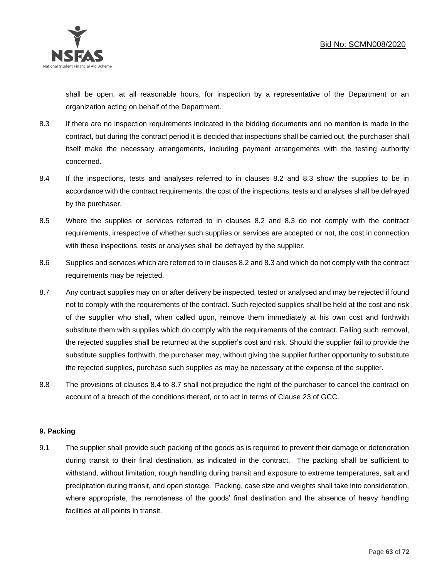

shall be open, at all reasonable hours, for inspection by a representative of the Department or an organization acting on behalf of the Department.

- 8.3 If there are no inspection requirements indicated in the bidding documents and no mention is made in the contract, but during the contract period it is decided that inspections shall be carried out, the purchaser shall itself make the necessary arrangements, including payment arrangements with the testing authority concerned.
- 8.4 If the inspections, tests and analyses referred to in clauses 8.2 and 8.3 show the supplies to be in accordance with the contract requirements, the cost of the inspections, tests and analyses shall be defrayed by the purchaser.
- 8.5 Where the supplies or services referred to in clauses 8.2 and 8.3 do not comply with the contract requirements, irrespective of whether such supplies or services are accepted or not, the cost in connection with these inspections, tests or analyses shall be defrayed by the supplier.
- 8.6 Supplies and services which are referred to in clauses 8.2 and 8.3 and which do not comply with the contract requirements may be rejected.
- 8.7 Any contract supplies may on or after delivery be inspected, tested or analysed and may be rejected if found not to comply with the requirements of the contract. Such rejected supplies shall be held at the cost and risk of the supplier who shall, when called upon, remove them immediately at his own cost and forthwith substitute them with supplies which do comply with the requirements of the contract. Failing such removal, the rejected supplies shall be returned at the supplier's cost and risk. Should the supplier fail to provide the substitute supplies forthwith, the purchaser may, without giving the supplier further opportunity to substitute the rejected supplies, purchase such supplies as may be necessary at the expense of the supplier.
- 8.8 The provisions of clauses 8.4 to 8.7 shall not prejudice the right of the purchaser to cancel the contract on account of a breach of the conditions thereof, or to act in terms of Clause 23 of GCC.

# **9. Packing**

9.1 The supplier shall provide such packing of the goods as is required to prevent their damage or deterioration during transit to their final destination, as indicated in the contract. The packing shall be sufficient to withstand, without limitation, rough handling during transit and exposure to extreme temperatures, salt and precipitation during transit, and open storage. Packing, case size and weights shall take into consideration, where appropriate, the remoteness of the goods' final destination and the absence of heavy handling facilities at all points in transit.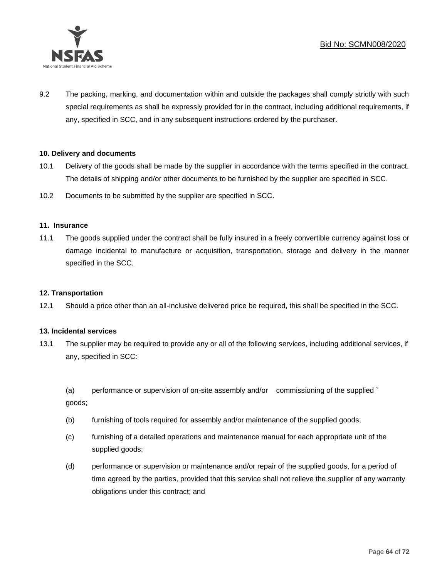

9.2 The packing, marking, and documentation within and outside the packages shall comply strictly with such special requirements as shall be expressly provided for in the contract, including additional requirements, if any, specified in SCC, and in any subsequent instructions ordered by the purchaser.

# **10. Delivery and documents**

- 10.1 Delivery of the goods shall be made by the supplier in accordance with the terms specified in the contract. The details of shipping and/or other documents to be furnished by the supplier are specified in SCC.
- 10.2 Documents to be submitted by the supplier are specified in SCC.

#### **11. Insurance**

11.1 The goods supplied under the contract shall be fully insured in a freely convertible currency against loss or damage incidental to manufacture or acquisition, transportation, storage and delivery in the manner specified in the SCC.

#### **12. Transportation**

12.1 Should a price other than an all-inclusive delivered price be required, this shall be specified in the SCC.

#### **13. Incidental services**

13.1 The supplier may be required to provide any or all of the following services, including additional services, if any, specified in SCC:

(a) performance or supervision of on-site assembly and/or commissioning of the supplied ` goods;

- (b) furnishing of tools required for assembly and/or maintenance of the supplied goods;
- (c) furnishing of a detailed operations and maintenance manual for each appropriate unit of the supplied goods;
- (d) performance or supervision or maintenance and/or repair of the supplied goods, for a period of time agreed by the parties, provided that this service shall not relieve the supplier of any warranty obligations under this contract; and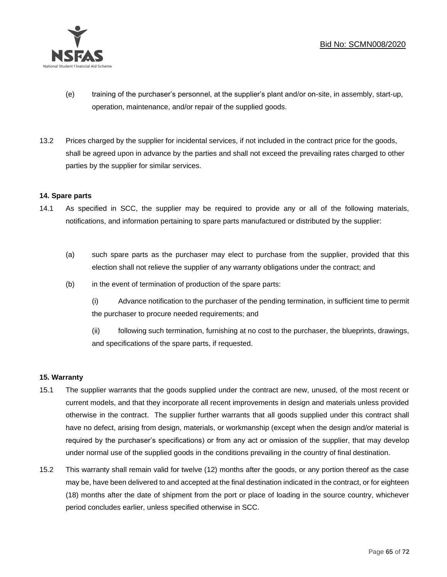

- (e) training of the purchaser's personnel, at the supplier's plant and/or on-site, in assembly, start-up, operation, maintenance, and/or repair of the supplied goods.
- 13.2 Prices charged by the supplier for incidental services, if not included in the contract price for the goods, shall be agreed upon in advance by the parties and shall not exceed the prevailing rates charged to other parties by the supplier for similar services.

#### **14. Spare parts**

- 14.1 As specified in SCC, the supplier may be required to provide any or all of the following materials, notifications, and information pertaining to spare parts manufactured or distributed by the supplier:
	- (a) such spare parts as the purchaser may elect to purchase from the supplier, provided that this election shall not relieve the supplier of any warranty obligations under the contract; and
	- (b) in the event of termination of production of the spare parts:

(i) Advance notification to the purchaser of the pending termination, in sufficient time to permit the purchaser to procure needed requirements; and

(ii) following such termination, furnishing at no cost to the purchaser, the blueprints, drawings, and specifications of the spare parts, if requested.

# **15. Warranty**

- 15.1 The supplier warrants that the goods supplied under the contract are new, unused, of the most recent or current models, and that they incorporate all recent improvements in design and materials unless provided otherwise in the contract. The supplier further warrants that all goods supplied under this contract shall have no defect, arising from design, materials, or workmanship (except when the design and/or material is required by the purchaser's specifications) or from any act or omission of the supplier, that may develop under normal use of the supplied goods in the conditions prevailing in the country of final destination.
- 15.2 This warranty shall remain valid for twelve (12) months after the goods, or any portion thereof as the case may be, have been delivered to and accepted at the final destination indicated in the contract, or for eighteen (18) months after the date of shipment from the port or place of loading in the source country, whichever period concludes earlier, unless specified otherwise in SCC.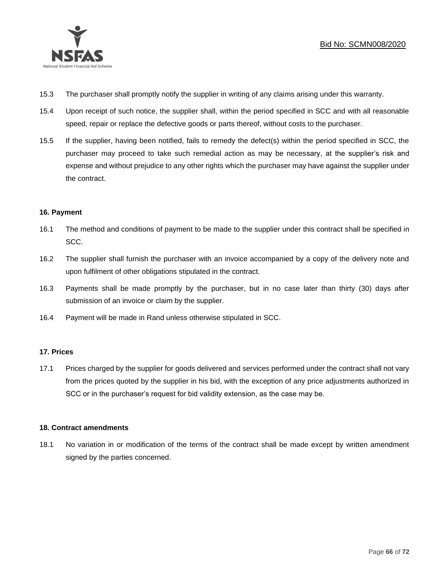

- 15.3 The purchaser shall promptly notify the supplier in writing of any claims arising under this warranty.
- 15.4 Upon receipt of such notice, the supplier shall, within the period specified in SCC and with all reasonable speed, repair or replace the defective goods or parts thereof, without costs to the purchaser.
- 15.5 If the supplier, having been notified, fails to remedy the defect(s) within the period specified in SCC, the purchaser may proceed to take such remedial action as may be necessary, at the supplier's risk and expense and without prejudice to any other rights which the purchaser may have against the supplier under the contract.

# **16. Payment**

- 16.1 The method and conditions of payment to be made to the supplier under this contract shall be specified in SCC.
- 16.2 The supplier shall furnish the purchaser with an invoice accompanied by a copy of the delivery note and upon fulfilment of other obligations stipulated in the contract.
- 16.3 Payments shall be made promptly by the purchaser, but in no case later than thirty (30) days after submission of an invoice or claim by the supplier.
- 16.4 Payment will be made in Rand unless otherwise stipulated in SCC.

# **17. Prices**

17.1 Prices charged by the supplier for goods delivered and services performed under the contract shall not vary from the prices quoted by the supplier in his bid, with the exception of any price adjustments authorized in SCC or in the purchaser's request for bid validity extension, as the case may be.

# **18. Contract amendments**

18.1 No variation in or modification of the terms of the contract shall be made except by written amendment signed by the parties concerned.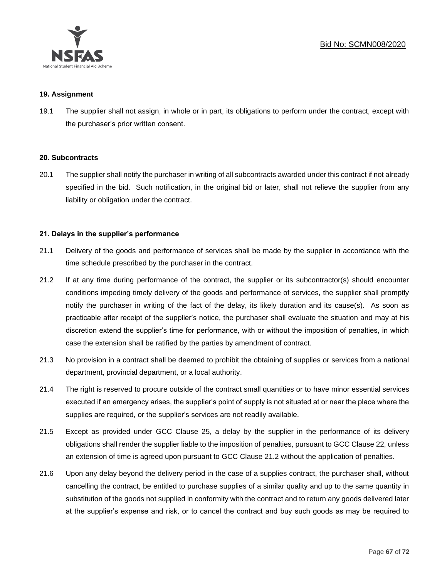

#### **19. Assignment**

19.1 The supplier shall not assign, in whole or in part, its obligations to perform under the contract, except with the purchaser's prior written consent.

#### **20. Subcontracts**

20.1 The supplier shall notify the purchaser in writing of all subcontracts awarded under this contract if not already specified in the bid. Such notification, in the original bid or later, shall not relieve the supplier from any liability or obligation under the contract.

#### **21. Delays in the supplier's performance**

- 21.1 Delivery of the goods and performance of services shall be made by the supplier in accordance with the time schedule prescribed by the purchaser in the contract.
- 21.2 If at any time during performance of the contract, the supplier or its subcontractor(s) should encounter conditions impeding timely delivery of the goods and performance of services, the supplier shall promptly notify the purchaser in writing of the fact of the delay, its likely duration and its cause(s). As soon as practicable after receipt of the supplier's notice, the purchaser shall evaluate the situation and may at his discretion extend the supplier's time for performance, with or without the imposition of penalties, in which case the extension shall be ratified by the parties by amendment of contract.
- 21.3 No provision in a contract shall be deemed to prohibit the obtaining of supplies or services from a national department, provincial department, or a local authority.
- 21.4 The right is reserved to procure outside of the contract small quantities or to have minor essential services executed if an emergency arises, the supplier's point of supply is not situated at or near the place where the supplies are required, or the supplier's services are not readily available.
- 21.5 Except as provided under GCC Clause 25, a delay by the supplier in the performance of its delivery obligations shall render the supplier liable to the imposition of penalties, pursuant to GCC Clause 22, unless an extension of time is agreed upon pursuant to GCC Clause 21.2 without the application of penalties.
- 21.6 Upon any delay beyond the delivery period in the case of a supplies contract, the purchaser shall, without cancelling the contract, be entitled to purchase supplies of a similar quality and up to the same quantity in substitution of the goods not supplied in conformity with the contract and to return any goods delivered later at the supplier's expense and risk, or to cancel the contract and buy such goods as may be required to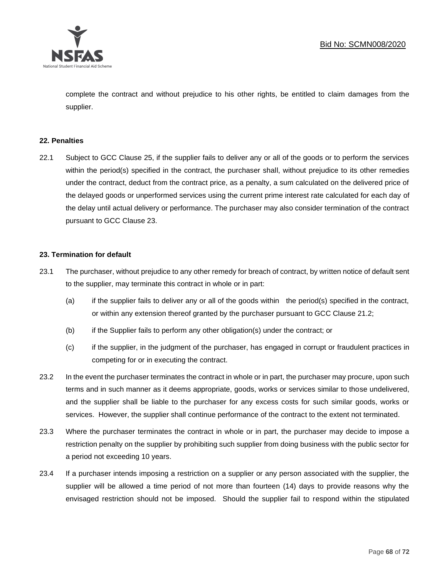

complete the contract and without prejudice to his other rights, be entitled to claim damages from the supplier.

#### **22. Penalties**

22.1 Subject to GCC Clause 25, if the supplier fails to deliver any or all of the goods or to perform the services within the period(s) specified in the contract, the purchaser shall, without prejudice to its other remedies under the contract, deduct from the contract price, as a penalty, a sum calculated on the delivered price of the delayed goods or unperformed services using the current prime interest rate calculated for each day of the delay until actual delivery or performance. The purchaser may also consider termination of the contract pursuant to GCC Clause 23.

#### **23. Termination for default**

- 23.1 The purchaser, without prejudice to any other remedy for breach of contract, by written notice of default sent to the supplier, may terminate this contract in whole or in part:
	- (a) if the supplier fails to deliver any or all of the goods within the period(s) specified in the contract, or within any extension thereof granted by the purchaser pursuant to GCC Clause 21.2;
	- (b) if the Supplier fails to perform any other obligation(s) under the contract; or
	- (c) if the supplier, in the judgment of the purchaser, has engaged in corrupt or fraudulent practices in competing for or in executing the contract.
- 23.2 In the event the purchaser terminates the contract in whole or in part, the purchaser may procure, upon such terms and in such manner as it deems appropriate, goods, works or services similar to those undelivered, and the supplier shall be liable to the purchaser for any excess costs for such similar goods, works or services. However, the supplier shall continue performance of the contract to the extent not terminated.
- 23.3 Where the purchaser terminates the contract in whole or in part, the purchaser may decide to impose a restriction penalty on the supplier by prohibiting such supplier from doing business with the public sector for a period not exceeding 10 years.
- 23.4 If a purchaser intends imposing a restriction on a supplier or any person associated with the supplier, the supplier will be allowed a time period of not more than fourteen (14) days to provide reasons why the envisaged restriction should not be imposed. Should the supplier fail to respond within the stipulated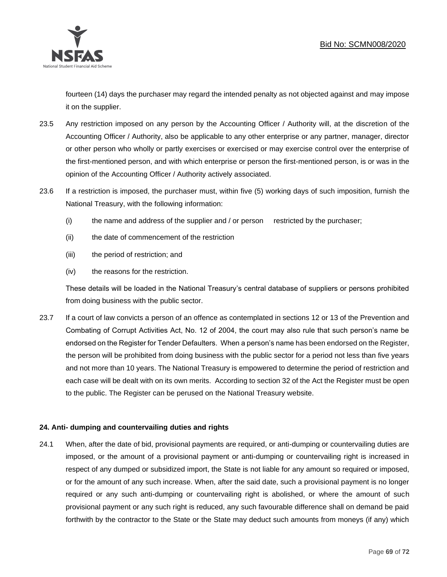

fourteen (14) days the purchaser may regard the intended penalty as not objected against and may impose it on the supplier.

- 23.5 Any restriction imposed on any person by the Accounting Officer / Authority will, at the discretion of the Accounting Officer / Authority, also be applicable to any other enterprise or any partner, manager, director or other person who wholly or partly exercises or exercised or may exercise control over the enterprise of the first-mentioned person, and with which enterprise or person the first-mentioned person, is or was in the opinion of the Accounting Officer / Authority actively associated.
- 23.6 If a restriction is imposed, the purchaser must, within five (5) working days of such imposition, furnish the National Treasury, with the following information:
	- (i) the name and address of the supplier and / or person restricted by the purchaser;
	- (ii) the date of commencement of the restriction
	- (iii) the period of restriction; and
	- (iv) the reasons for the restriction.

These details will be loaded in the National Treasury's central database of suppliers or persons prohibited from doing business with the public sector.

23.7 If a court of law convicts a person of an offence as contemplated in sections 12 or 13 of the Prevention and Combating of Corrupt Activities Act, No. 12 of 2004, the court may also rule that such person's name be endorsed on the Register for Tender Defaulters. When a person's name has been endorsed on the Register, the person will be prohibited from doing business with the public sector for a period not less than five years and not more than 10 years. The National Treasury is empowered to determine the period of restriction and each case will be dealt with on its own merits. According to section 32 of the Act the Register must be open to the public. The Register can be perused on the National Treasury website.

# **24. Anti- dumping and countervailing duties and rights**

24.1 When, after the date of bid, provisional payments are required, or anti-dumping or countervailing duties are imposed, or the amount of a provisional payment or anti-dumping or countervailing right is increased in respect of any dumped or subsidized import, the State is not liable for any amount so required or imposed, or for the amount of any such increase. When, after the said date, such a provisional payment is no longer required or any such anti-dumping or countervailing right is abolished, or where the amount of such provisional payment or any such right is reduced, any such favourable difference shall on demand be paid forthwith by the contractor to the State or the State may deduct such amounts from moneys (if any) which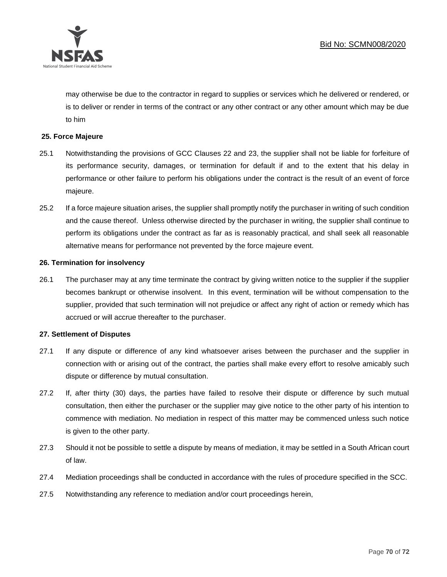

may otherwise be due to the contractor in regard to supplies or services which he delivered or rendered, or is to deliver or render in terms of the contract or any other contract or any other amount which may be due to him

### **25. Force Majeure**

- 25.1 Notwithstanding the provisions of GCC Clauses 22 and 23, the supplier shall not be liable for forfeiture of its performance security, damages, or termination for default if and to the extent that his delay in performance or other failure to perform his obligations under the contract is the result of an event of force majeure.
- 25.2 If a force majeure situation arises, the supplier shall promptly notify the purchaser in writing of such condition and the cause thereof. Unless otherwise directed by the purchaser in writing, the supplier shall continue to perform its obligations under the contract as far as is reasonably practical, and shall seek all reasonable alternative means for performance not prevented by the force majeure event.

#### **26. Termination for insolvency**

26.1 The purchaser may at any time terminate the contract by giving written notice to the supplier if the supplier becomes bankrupt or otherwise insolvent. In this event, termination will be without compensation to the supplier, provided that such termination will not prejudice or affect any right of action or remedy which has accrued or will accrue thereafter to the purchaser.

#### **27. Settlement of Disputes**

- 27.1 If any dispute or difference of any kind whatsoever arises between the purchaser and the supplier in connection with or arising out of the contract, the parties shall make every effort to resolve amicably such dispute or difference by mutual consultation.
- 27.2 If, after thirty (30) days, the parties have failed to resolve their dispute or difference by such mutual consultation, then either the purchaser or the supplier may give notice to the other party of his intention to commence with mediation. No mediation in respect of this matter may be commenced unless such notice is given to the other party.
- 27.3 Should it not be possible to settle a dispute by means of mediation, it may be settled in a South African court of law.
- 27.4 Mediation proceedings shall be conducted in accordance with the rules of procedure specified in the SCC.
- 27.5 Notwithstanding any reference to mediation and/or court proceedings herein,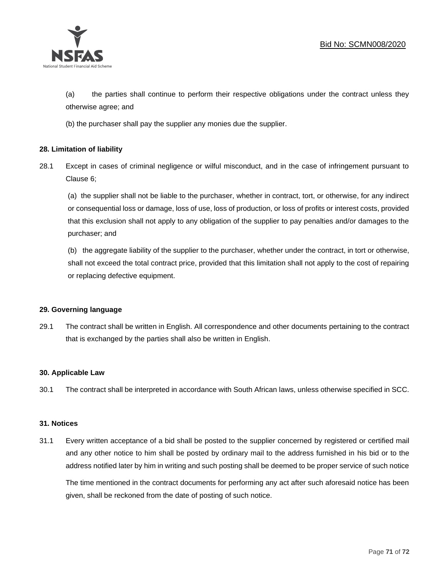

(a) the parties shall continue to perform their respective obligations under the contract unless they otherwise agree; and

(b) the purchaser shall pay the supplier any monies due the supplier.

# **28. Limitation of liability**

28.1 Except in cases of criminal negligence or wilful misconduct, and in the case of infringement pursuant to Clause 6;

(a) the supplier shall not be liable to the purchaser, whether in contract, tort, or otherwise, for any indirect or consequential loss or damage, loss of use, loss of production, or loss of profits or interest costs, provided that this exclusion shall not apply to any obligation of the supplier to pay penalties and/or damages to the purchaser; and

(b) the aggregate liability of the supplier to the purchaser, whether under the contract, in tort or otherwise, shall not exceed the total contract price, provided that this limitation shall not apply to the cost of repairing or replacing defective equipment.

#### **29. Governing language**

29.1 The contract shall be written in English. All correspondence and other documents pertaining to the contract that is exchanged by the parties shall also be written in English.

#### **30. Applicable Law**

30.1 The contract shall be interpreted in accordance with South African laws, unless otherwise specified in SCC.

#### **31. Notices**

31.1 Every written acceptance of a bid shall be posted to the supplier concerned by registered or certified mail and any other notice to him shall be posted by ordinary mail to the address furnished in his bid or to the address notified later by him in writing and such posting shall be deemed to be proper service of such notice

The time mentioned in the contract documents for performing any act after such aforesaid notice has been given, shall be reckoned from the date of posting of such notice.